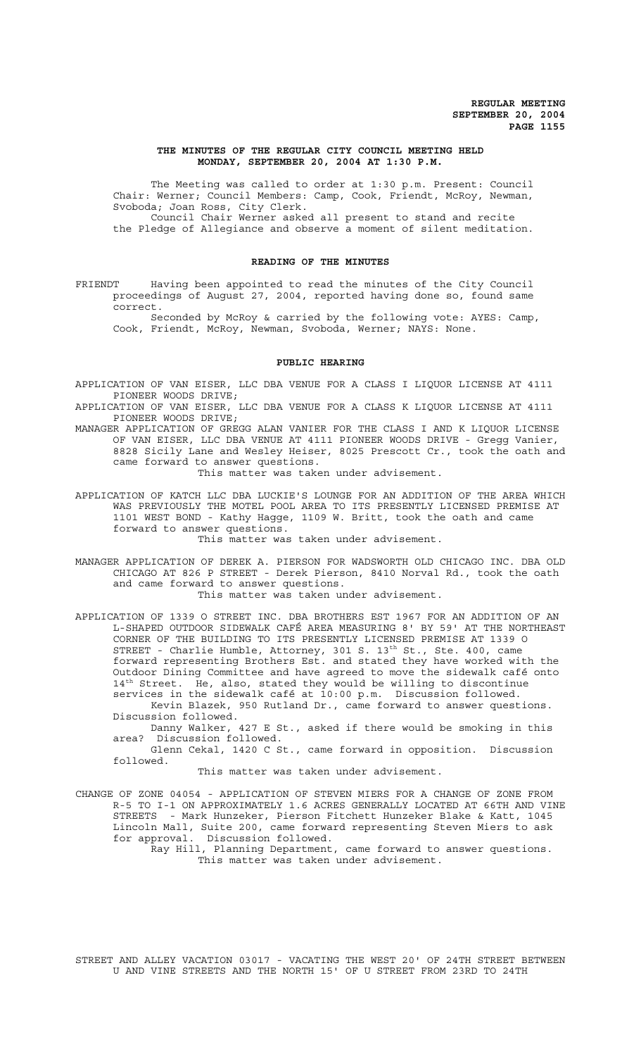#### **THE MINUTES OF THE REGULAR CITY COUNCIL MEETING HELD MONDAY, SEPTEMBER 20, 2004 AT 1:30 P.M.**

The Meeting was called to order at 1:30 p.m. Present: Council Chair: Werner; Council Members: Camp, Cook, Friendt, McRoy, Newman, Svoboda; Joan Ross, City Clerk. Council Chair Werner asked all present to stand and recite

the Pledge of Allegiance and observe a moment of silent meditation.

#### **READING OF THE MINUTES**

FRIENDT Having been appointed to read the minutes of the City Council proceedings of August 27, 2004, reported having done so, found same correct.

Seconded by McRoy & carried by the following vote: AYES: Camp, Cook, Friendt, McRoy, Newman, Svoboda, Werner; NAYS: None.

## **PUBLIC HEARING**

APPLICATION OF VAN EISER, LLC DBA VENUE FOR A CLASS I LIQUOR LICENSE AT 4111 PIONEER WOODS DRIVE;

APPLICATION OF VAN EISER, LLC DBA VENUE FOR A CLASS K LIQUOR LICENSE AT 4111 PIONEER WOODS DRIVE;

MANAGER APPLICATION OF GREGG ALAN VANIER FOR THE CLASS I AND K LIQUOR LICENSE OF VAN EISER, LLC DBA VENUE AT 4111 PIONEER WOODS DRIVE - Gregg Vanier, 8828 Sicily Lane and Wesley Heiser, 8025 Prescott Cr., took the oath and came forward to answer questions.

This matter was taken under advisement.

APPLICATION OF KATCH LLC DBA LUCKIE'S LOUNGE FOR AN ADDITION OF THE AREA WHICH WAS PREVIOUSLY THE MOTEL POOL AREA TO ITS PRESENTLY LICENSED PREMISE AT 1101 WEST BOND - Kathy Hagge, 1109 W. Britt, took the oath and came forward to answer questions.

This matter was taken under advisement.

MANAGER APPLICATION OF DEREK A. PIERSON FOR WADSWORTH OLD CHICAGO INC. DBA OLD CHICAGO AT 826 P STREET - Derek Pierson, 8410 Norval Rd., took the oath and came forward to answer questions.

This matter was taken under advisement.

APPLICATION OF 1339 O STREET INC. DBA BROTHERS EST 1967 FOR AN ADDITION OF AN L-SHAPED OUTDOOR SIDEWALK CAFÉ AREA MEASURING 8' BY 59' AT THE NORTHEAST CORNER OF THE BUILDING TO ITS PRESENTLY LICENSED PREMISE AT 1339 O STREET - Charlie Humble, Attorney, 301 S.  $13<sup>th</sup>$  St., Ste. 400, came forward representing Brothers Est. and stated they have worked with the Outdoor Dining Committee and have agreed to move the sidewalk café onto  $14<sup>th</sup>$  Street. He, also, stated they would be willing to discontinue services in the sidewalk café at 10:00 p.m. Discussion followed. Kevin Blazek, 950 Rutland Dr., came forward to answer questions. Discussion followed.

Danny Walker, 427 E St., asked if there would be smoking in this area? Discussion followed.

Glenn Cekal, 1420 C St., came forward in opposition. Discussion followed.

This matter was taken under advisement.

CHANGE OF ZONE 04054 - APPLICATION OF STEVEN MIERS FOR A CHANGE OF ZONE FROM R-5 TO I-1 ON APPROXIMATELY 1.6 ACRES GENERALLY LOCATED AT 66TH AND VINE STREETS - Mark Hunzeker, Pierson Fitchett Hunzeker Blake & Katt, 1045 Lincoln Mall, Suite 200, came forward representing Steven Miers to ask for approval. Discussion followed.

Ray Hill, Planning Department, came forward to answer questions. This matter was taken under advisement.

STREET AND ALLEY VACATION 03017 - VACATING THE WEST 20' OF 24TH STREET BETWEEN U AND VINE STREETS AND THE NORTH 15' OF U STREET FROM 23RD TO 24TH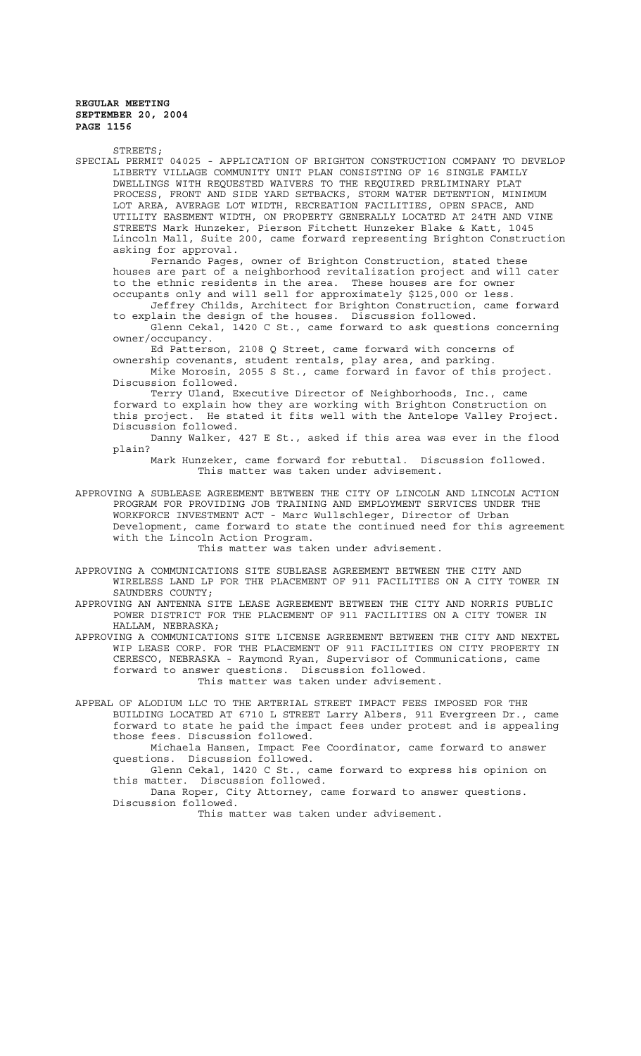STREETS; SPECIAL PERMIT 04025 - APPLICATION OF BRIGHTON CONSTRUCTION COMPANY TO DEVELOP LIBERTY VILLAGE COMMUNITY UNIT PLAN CONSISTING OF 16 SINGLE FAMILY DWELLINGS WITH REQUESTED WAIVERS TO THE REQUIRED PRELIMINARY PLAT PROCESS, FRONT AND SIDE YARD SETBACKS, STORM WATER DETENTION, MINIMUM LOT AREA, AVERAGE LOT WIDTH, RECREATION FACILITIES, OPEN SPACE, AND UTILITY EASEMENT WIDTH, ON PROPERTY GENERALLY LOCATED AT 24TH AND VINE STREETS Mark Hunzeker, Pierson Fitchett Hunzeker Blake & Katt, 1045 Lincoln Mall, Suite 200, came forward representing Brighton Construction asking for approval. Fernando Pages, owner of Brighton Construction, stated these houses are part of a neighborhood revitalization project and will cater to the ethnic residents in the area. These houses are for owner occupants only and will sell for approximately \$125,000 or less. Jeffrey Childs, Architect for Brighton Construction, came forward to explain the design of the houses. Discussion followed. Glenn Cekal, 1420 C St., came forward to ask questions concerning owner/occupancy. Ed Patterson, 2108 Q Street, came forward with concerns of ownership covenants, student rentals, play area, and parking. Mike Morosin, 2055 S St., came forward in favor of this project. Discussion followed. Terry Uland, Executive Director of Neighborhoods, Inc., came forward to explain how they are working with Brighton Construction on this project. He stated it fits well with the Antelope Valley Project. Discussion followed. Danny Walker, 427 E St., asked if this area was ever in the flood plain? Mark Hunzeker, came forward for rebuttal. Discussion followed. This matter was taken under advisement. APPROVING A SUBLEASE AGREEMENT BETWEEN THE CITY OF LINCOLN AND LINCOLN ACTION PROGRAM FOR PROVIDING JOB TRAINING AND EMPLOYMENT SERVICES UNDER THE WORKFORCE INVESTMENT ACT - Marc Wullschleger, Director of Urban Development, came forward to state the continued need for this agreement with the Lincoln Action Program. This matter was taken under advisement. APPROVING A COMMUNICATIONS SITE SUBLEASE AGREEMENT BETWEEN THE CITY AND WIRELESS LAND LP FOR THE PLACEMENT OF 911 FACILITIES ON A CITY TOWER IN SAUNDERS COUNTY; APPROVING AN ANTENNA SITE LEASE AGREEMENT BETWEEN THE CITY AND NORRIS PUBLIC POWER DISTRICT FOR THE PLACEMENT OF 911 FACILITIES ON A CITY TOWER IN HALLAM, NEBRASKA; APPROVING A COMMUNICATIONS SITE LICENSE AGREEMENT BETWEEN THE CITY AND NEXTEL WIP LEASE CORP. FOR THE PLACEMENT OF 911 FACILITIES ON CITY PROPERTY IN CERESCO, NEBRASKA - Raymond Ryan, Supervisor of Communications, came forward to answer questions. Discussion followed. This matter was taken under advisement. APPEAL OF ALODIUM LLC TO THE ARTERIAL STREET IMPACT FEES IMPOSED FOR THE BUILDING LOCATED AT 6710 L STREET Larry Albers, 911 Evergreen Dr., came forward to state he paid the impact fees under protest and is appealing those fees. Discussion followed. Michaela Hansen, Impact Fee Coordinator, came forward to answer questions. Discussion followed.

Glenn Cekal, 1420 C St., came forward to express his opinion on this matter. Discussion followed.

Dana Roper, City Attorney, came forward to answer questions. Discussion followed.

This matter was taken under advisement.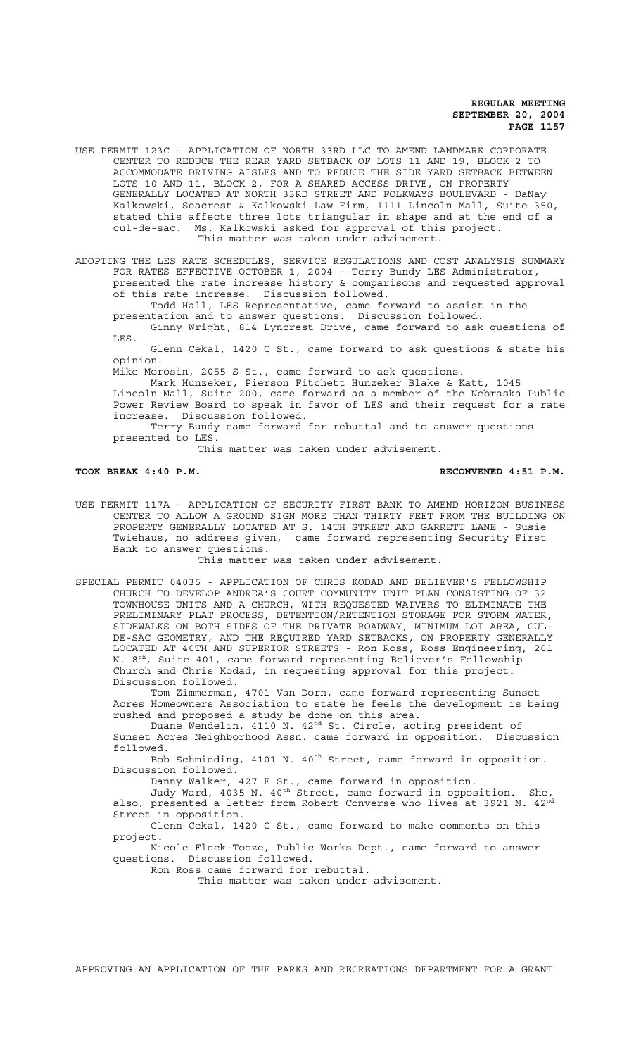USE PERMIT 123C - APPLICATION OF NORTH 33RD LLC TO AMEND LANDMARK CORPORATE CENTER TO REDUCE THE REAR YARD SETBACK OF LOTS 11 AND 19, BLOCK 2 TO ACCOMMODATE DRIVING AISLES AND TO REDUCE THE SIDE YARD SETBACK BETWEEN LOTS 10 AND 11, BLOCK 2, FOR A SHARED ACCESS DRIVE, ON PROPERTY GENERALLY LOCATED AT NORTH 33RD STREET AND FOLKWAYS BOULEVARD - DaNay Kalkowski, Seacrest & Kalkowski Law Firm, 1111 Lincoln Mall, Suite 350, stated this affects three lots triangular in shape and at the end of a cul-de-sac. Ms. Kalkowski asked for approval of this project. This matter was taken under advisement.

ADOPTING THE LES RATE SCHEDULES, SERVICE REGULATIONS AND COST ANALYSIS SUMMARY FOR RATES EFFECTIVE OCTOBER 1, 2004 - Terry Bundy LES Administrator, presented the rate increase history & comparisons and requested approval of this rate increase. Discussion followed.

Todd Hall, LES Representative, came forward to assist in the presentation and to answer questions. Discussion followed.

Ginny Wright, 814 Lyncrest Drive, came forward to ask questions of LES.

Glenn Cekal, 1420 C St., came forward to ask questions & state his opinion.

Mike Morosin, 2055 S St., came forward to ask questions.

Mark Hunzeker, Pierson Fitchett Hunzeker Blake & Katt, 1045 Lincoln Mall, Suite 200, came forward as a member of the Nebraska Public Power Review Board to speak in favor of LES and their request for a rate increase. Discussion followed.

Terry Bundy came forward for rebuttal and to answer questions presented to LES.

This matter was taken under advisement.

**TOOK BREAK 4:40 P.M. RECONVENED 4:51 P.M.**

USE PERMIT 117A - APPLICATION OF SECURITY FIRST BANK TO AMEND HORIZON BUSINESS CENTER TO ALLOW A GROUND SIGN MORE THAN THIRTY FEET FROM THE BUILDING ON PROPERTY GENERALLY LOCATED AT S. 14TH STREET AND GARRETT LANE - Susie Twiehaus, no address given, came forward representing Security First Bank to answer questions.

This matter was taken under advisement.

SPECIAL PERMIT 04035 - APPLICATION OF CHRIS KODAD AND BELIEVER'S FELLOWSHIP CHURCH TO DEVELOP ANDREA'S COURT COMMUNITY UNIT PLAN CONSISTING OF 32 TOWNHOUSE UNITS AND A CHURCH, WITH REQUESTED WAIVERS TO ELIMINATE THE PRELIMINARY PLAT PROCESS, DETENTION/RETENTION STORAGE FOR STORM WATER, SIDEWALKS ON BOTH SIDES OF THE PRIVATE ROADWAY, MINIMUM LOT AREA, CUL-DE-SAC GEOMETRY, AND THE REQUIRED YARD SETBACKS, ON PROPERTY GENERALLY LOCATED AT 40TH AND SUPERIOR STREETS - Ron Ross, Ross Engineering, 201 N. 8th, Suite 401, came forward representing Believer's Fellowship Church and Chris Kodad, in requesting approval for this project. Discussion followed.

Tom Zimmerman, 4701 Van Dorn, came forward representing Sunset Acres Homeowners Association to state he feels the development is being rushed and proposed a study be done on this area.

Duane Wendelin, 4110 N. 42<sup>nd</sup> St. Circle, acting president of Sunset Acres Neighborhood Assn. came forward in opposition. Discussion followed.

Bob Schmieding, 4101 N. 40<sup>th</sup> Street, came forward in opposition. Discussion followed.

Danny Walker, 427 E St., came forward in opposition.

Judy Ward, 4035 N. 40<sup>th</sup> Street, came forward in opposition. She, also, presented a letter from Robert Converse who lives at 3921 N.  $42^{\text{nd}}$ Street in opposition.

Glenn Cekal, 1420 C St., came forward to make comments on this project.

Nicole Fleck-Tooze, Public Works Dept., came forward to answer questions. Discussion followed.

Ron Ross came forward for rebuttal.

This matter was taken under advisement.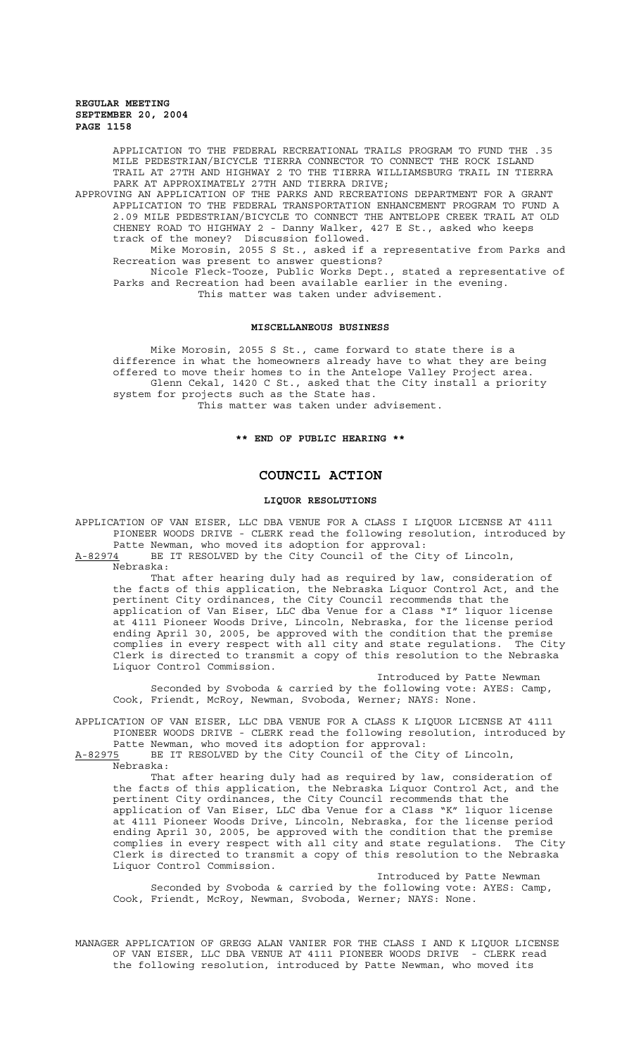APPLICATION TO THE FEDERAL RECREATIONAL TRAILS PROGRAM TO FUND THE .35 MILE PEDESTRIAN/BICYCLE TIERRA CONNECTOR TO CONNECT THE ROCK ISLAND TRAIL AT 27TH AND HIGHWAY 2 TO THE TIERRA WILLIAMSBURG TRAIL IN TIERRA PARK AT APPROXIMATELY 27TH AND TIERRA DRIVE;

APPROVING AN APPLICATION OF THE PARKS AND RECREATIONS DEPARTMENT FOR A GRANT APPLICATION TO THE FEDERAL TRANSPORTATION ENHANCEMENT PROGRAM TO FUND A 2.09 MILE PEDESTRIAN/BICYCLE TO CONNECT THE ANTELOPE CREEK TRAIL AT OLD CHENEY ROAD TO HIGHWAY 2 - Danny Walker, 427 E St., asked who keeps track of the money? Discussion followed.

Mike Morosin, 2055 S St., asked if a representative from Parks and Recreation was present to answer questions?

Nicole Fleck-Tooze, Public Works Dept., stated a representative of Parks and Recreation had been available earlier in the evening. This matter was taken under advisement.

#### **MISCELLANEOUS BUSINESS**

Mike Morosin, 2055 S St., came forward to state there is a difference in what the homeowners already have to what they are being offered to move their homes to in the Antelope Valley Project area. Glenn Cekal, 1420 C St., asked that the City install a priority system for projects such as the State has. This matter was taken under advisement.

# **\*\* END OF PUBLIC HEARING \*\***

# **COUNCIL ACTION**

## **LIQUOR RESOLUTIONS**

APPLICATION OF VAN EISER, LLC DBA VENUE FOR A CLASS I LIQUOR LICENSE AT 4111 PIONEER WOODS DRIVE - CLERK read the following resolution, introduced by Patte Newman, who moved its adoption for approval:

A-82974 BE IT RESOLVED by the City Council of the City of Lincoln,

Nebraska:

That after hearing duly had as required by law, consideration of the facts of this application, the Nebraska Liquor Control Act, and the pertinent City ordinances, the City Council recommends that the application of Van Eiser, LLC dba Venue for a Class "I" liquor license at 4111 Pioneer Woods Drive, Lincoln, Nebraska, for the license period ending April 30, 2005, be approved with the condition that the premise complies in every respect with all city and state regulations. The City Clerk is directed to transmit a copy of this resolution to the Nebraska Liquor Control Commission.

Introduced by Patte Newman Seconded by Svoboda & carried by the following vote: AYES: Camp, Cook, Friendt, McRoy, Newman, Svoboda, Werner; NAYS: None.

APPLICATION OF VAN EISER, LLC DBA VENUE FOR A CLASS K LIQUOR LICENSE AT 4111 PIONEER WOODS DRIVE - CLERK read the following resolution, introduced by

Patte Newman, who moved its adoption for approval:<br>A-82975 BE IT RESOLVED by the City Council of the Ci BE IT RESOLVED by the City Council of the City of Lincoln,

Nebraska:

That after hearing duly had as required by law, consideration of the facts of this application, the Nebraska Liquor Control Act, and the pertinent City ordinances, the City Council recommends that the application of Van Eiser, LLC dba Venue for a Class "K" liquor license at 4111 Pioneer Woods Drive, Lincoln, Nebraska, for the license period ending April 30, 2005, be approved with the condition that the premise complies in every respect with all city and state regulations. The City complies in every respect with all city and state regulations. The City Clerk is directed to transmit a copy of this resolution to the Nebraska Liquor Control Commission.

Introduced by Patte Newman Seconded by Svoboda & carried by the following vote: AYES: Camp, Cook, Friendt, McRoy, Newman, Svoboda, Werner; NAYS: None.

MANAGER APPLICATION OF GREGG ALAN VANIER FOR THE CLASS I AND K LIQUOR LICENSE OF VAN EISER, LLC DBA VENUE AT 4111 PIONEER WOODS DRIVE - CLERK read the following resolution, introduced by Patte Newman, who moved its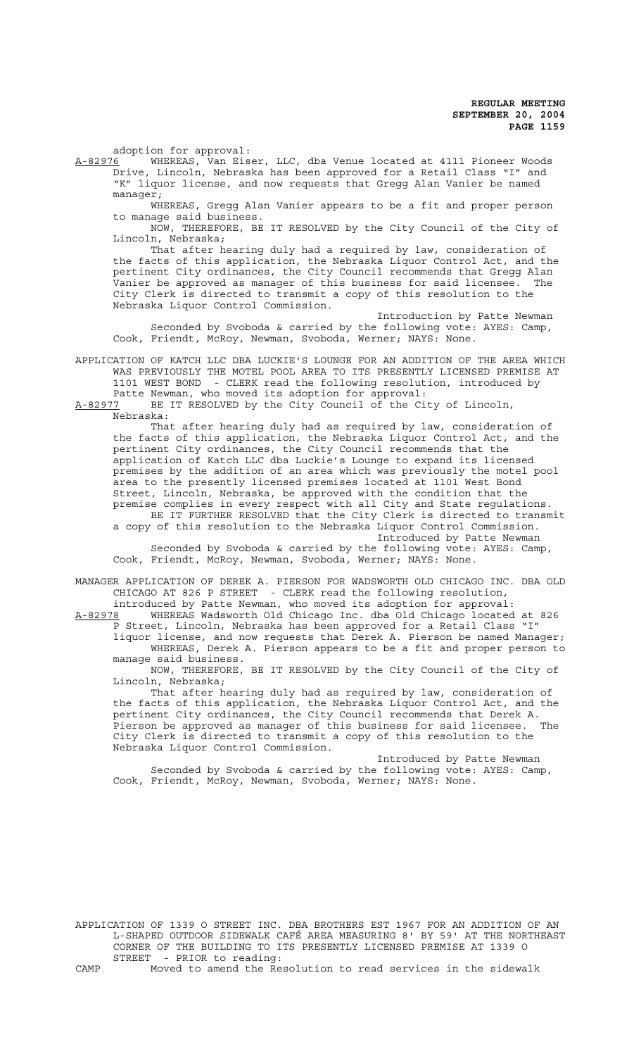adoption for approval:<br>A-82976 WHEREAS, Van Eis

WHEREAS, Van Eiser, LLC, dba Venue located at 4111 Pioneer Woods Drive, Lincoln, Nebraska has been approved for a Retail Class "I" and "K" liquor license, and now requests that Gregg Alan Vanier be named manager;

WHEREAS, Gregg Alan Vanier appears to be a fit and proper person to manage said business.

NOW, THEREFORE, BE IT RESOLVED by the City Council of the City of Lincoln, Nebraska;

That after hearing duly had a required by law, consideration of the facts of this application, the Nebraska Liquor Control Act, and the pertinent City ordinances, the City Council recommends that Gregg Alan Vanier be approved as manager of this business for said licensee. The City Clerk is directed to transmit a copy of this resolution to the Nebraska Liquor Control Commission.

Introduction by Patte Newman Seconded by Svoboda & carried by the following vote: AYES: Camp, Cook, Friendt, McRoy, Newman, Svoboda, Werner; NAYS: None.

APPLICATION OF KATCH LLC DBA LUCKIE'S LOUNGE FOR AN ADDITION OF THE AREA WHICH WAS PREVIOUSLY THE MOTEL POOL AREA TO ITS PRESENTLY LICENSED PREMISE AT 1101 WEST BOND - CLERK read the following resolution, introduced by Patte Newman, who moved its adoption for approval:

A-82977 BE IT RESOLVED by the City Council of the City of Lincoln, Nebraska:

That after hearing duly had as required by law, consideration of the facts of this application, the Nebraska Liquor Control Act, and the pertinent City ordinances, the City Council recommends that the application of Katch LLC dba Luckie's Lounge to expand its licensed premises by the addition of an area which was previously the motel pool area to the presently licensed premises located at 1101 West Bond Street, Lincoln, Nebraska, be approved with the condition that the premise complies in every respect with all City and State regulations. BE IT FURTHER RESOLVED that the City Clerk is directed to transmit

a copy of this resolution to the Nebraska Liquor Control Commission. Introduced by Patte Newman

Seconded by Svoboda & carried by the following vote: AYES: Camp, Cook, Friendt, McRoy, Newman, Svoboda, Werner; NAYS: None.

MANAGER APPLICATION OF DEREK A. PIERSON FOR WADSWORTH OLD CHICAGO INC. DBA OLD CHICAGO AT 826 P STREET - CLERK read the following resolution, introduced by Patte Newman, who moved its adoption for approval:

A-82978 WHEREAS Wadsworth Old Chicago Inc. dba Old Chicago located at 826 P Street, Lincoln, Nebraska has been approved for a Retail Class "I" liquor license, and now requests that Derek A. Pierson be named Manager; WHEREAS, Derek A. Pierson appears to be a fit and proper person to

manage said business. NOW, THEREFORE, BE IT RESOLVED by the City Council of the City of

Lincoln, Nebraska; That after hearing duly had as required by law, consideration of the facts of this application, the Nebraska Liquor Control Act, and the pertinent City ordinances, the City Council recommends that Derek A. Pierson be approved as manager of this business for said licensee. The City Clerk is directed to transmit a copy of this resolution to the

Introduced by Patte Newman Seconded by Svoboda & carried by the following vote: AYES: Camp, Cook, Friendt, McRoy, Newman, Svoboda, Werner; NAYS: None.

Nebraska Liquor Control Commission.

APPLICATION OF 1339 O STREET INC. DBA BROTHERS EST 1967 FOR AN ADDITION OF AN L-SHAPED OUTDOOR SIDEWALK CAFÉ AREA MEASURING 8' BY 59' AT THE NORTHEAST CORNER OF THE BUILDING TO ITS PRESENTLY LICENSED PREMISE AT 1339 O STREET - PRIOR to reading:

CAMP Moved to amend the Resolution to read services in the sidewalk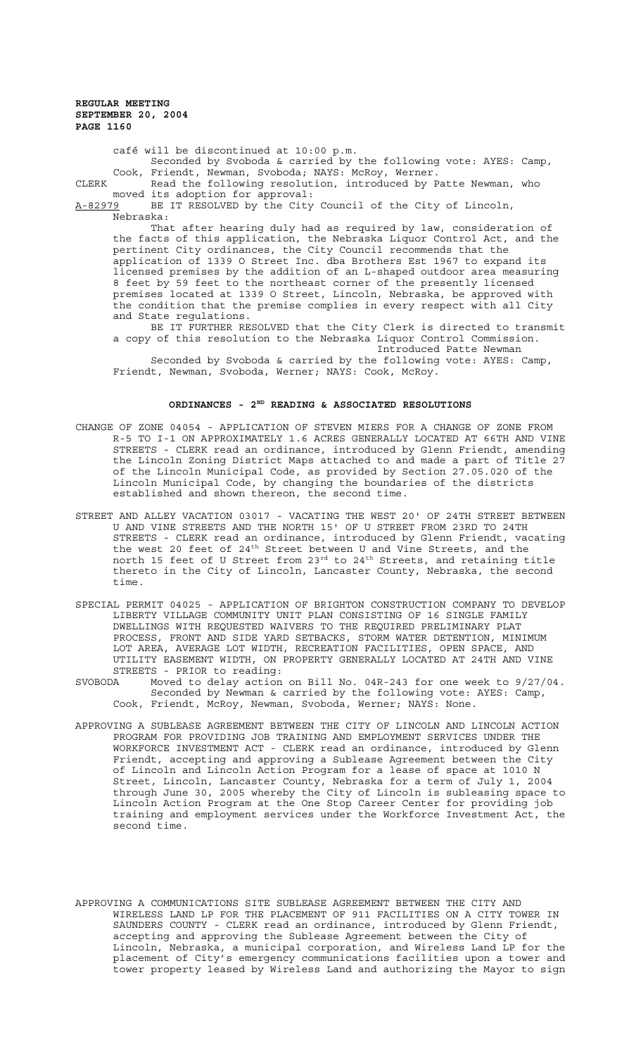café will be discontinued at 10:00 p.m.

Seconded by Svoboda & carried by the following vote: AYES: Camp, Cook, Friendt, Newman, Svoboda; NAYS: McRoy, Werner.

CLERK Read the following resolution, introduced by Patte Newman, who moved its adoption for approval:<br>A-82979 BE IT RESOLVED by the City

BE IT RESOLVED by the City Council of the City of Lincoln, Nebraska:

That after hearing duly had as required by law, consideration of the facts of this application, the Nebraska Liquor Control Act, and the pertinent City ordinances, the City Council recommends that the application of 1339 O Street Inc. dba Brothers Est 1967 to expand its licensed premises by the addition of an L-shaped outdoor area measuring 8 feet by 59 feet to the northeast corner of the presently licensed premises located at 1339 O Street, Lincoln, Nebraska, be approved with the condition that the premise complies in every respect with all City and State regulations.

BE IT FURTHER RESOLVED that the City Clerk is directed to transmit a copy of this resolution to the Nebraska Liquor Control Commission. Introduced Patte Newman

Seconded by Svoboda & carried by the following vote: AYES: Camp, Friendt, Newman, Svoboda, Werner; NAYS: Cook, McRoy.

# ORDINANCES - 2<sup>ND</sup> READING & ASSOCIATED RESOLUTIONS

- CHANGE OF ZONE 04054 APPLICATION OF STEVEN MIERS FOR A CHANGE OF ZONE FROM R-5 TO I-1 ON APPROXIMATELY 1.6 ACRES GENERALLY LOCATED AT 66TH AND VINE STREETS - CLERK read an ordinance, introduced by Glenn Friendt, amending the Lincoln Zoning District Maps attached to and made a part of Title 27 of the Lincoln Municipal Code, as provided by Section 27.05.020 of the Lincoln Municipal Code, by changing the boundaries of the districts established and shown thereon, the second time.
- STREET AND ALLEY VACATION 03017 VACATING THE WEST 20' OF 24TH STREET BETWEEN U AND VINE STREETS AND THE NORTH 15' OF U STREET FROM 23RD TO 24TH STREETS - CLERK read an ordinance, introduced by Glenn Friendt, vacating the west 20 feet of 24<sup>th</sup> Street between U and Vine Streets, and the north 15 feet of U Street from 23 $^{\rm rd}$  to 24th Streets, and retaining title thereto in the City of Lincoln, Lancaster County, Nebraska, the second time.
- SPECIAL PERMIT 04025 APPLICATION OF BRIGHTON CONSTRUCTION COMPANY TO DEVELOP LIBERTY VILLAGE COMMUNITY UNIT PLAN CONSISTING OF 16 SINGLE FAMILY DWELLINGS WITH REQUESTED WAIVERS TO THE REQUIRED PRELIMINARY PLAT PROCESS, FRONT AND SIDE YARD SETBACKS, STORM WATER DETENTION, MINIMUM LOT AREA, AVERAGE LOT WIDTH, RECREATION FACILITIES, OPEN SPACE, AND UTILITY EASEMENT WIDTH, ON PROPERTY GENERALLY LOCATED AT 24TH AND VINE STREETS - PRIOR to reading:
- SVOBODA Moved to delay action on Bill No. 04R-243 for one week to 9/27/04. Seconded by Newman & carried by the following vote: AYES: Camp, Cook, Friendt, McRoy, Newman, Svoboda, Werner; NAYS: None.
- APPROVING A SUBLEASE AGREEMENT BETWEEN THE CITY OF LINCOLN AND LINCOLN ACTION PROGRAM FOR PROVIDING JOB TRAINING AND EMPLOYMENT SERVICES UNDER THE WORKFORCE INVESTMENT ACT - CLERK read an ordinance, introduced by Glenn Friendt, accepting and approving a Sublease Agreement between the City of Lincoln and Lincoln Action Program for a lease of space at 1010 N Street, Lincoln, Lancaster County, Nebraska for a term of July 1, 2004 through June 30, 2005 whereby the City of Lincoln is subleasing space to Lincoln Action Program at the One Stop Career Center for providing job training and employment services under the Workforce Investment Act, the second time.
- APPROVING A COMMUNICATIONS SITE SUBLEASE AGREEMENT BETWEEN THE CITY AND WIRELESS LAND LP FOR THE PLACEMENT OF 911 FACILITIES ON A CITY TOWER IN SAUNDERS COUNTY - CLERK read an ordinance, introduced by Glenn Friendt, accepting and approving the Sublease Agreement between the City of Lincoln, Nebraska, a municipal corporation, and Wireless Land LP for the placement of City's emergency communications facilities upon a tower and tower property leased by Wireless Land and authorizing the Mayor to sign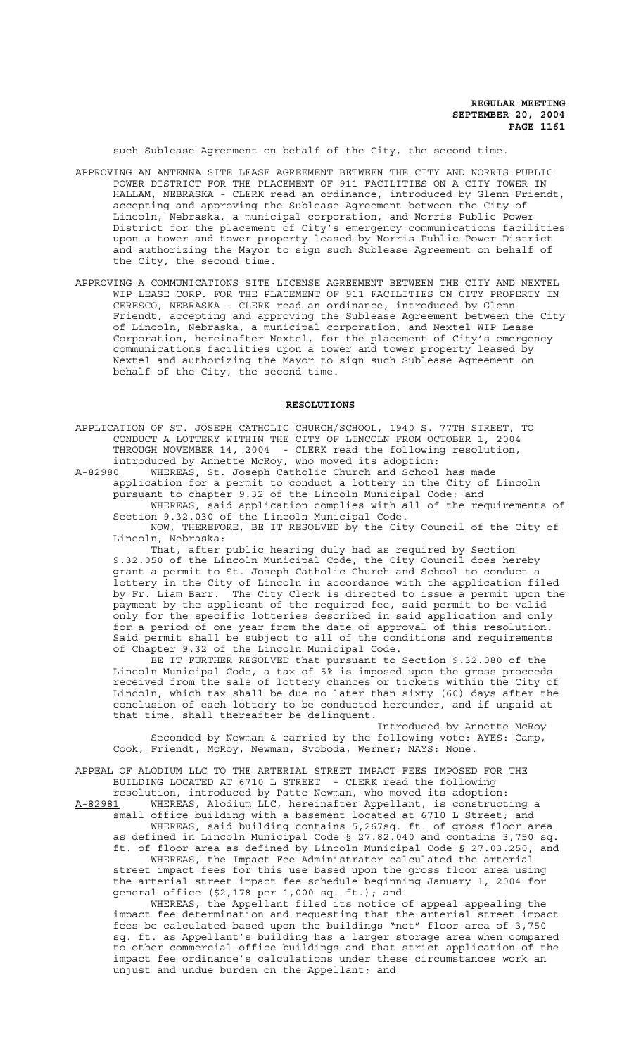such Sublease Agreement on behalf of the City, the second time.

- APPROVING AN ANTENNA SITE LEASE AGREEMENT BETWEEN THE CITY AND NORRIS PUBLIC POWER DISTRICT FOR THE PLACEMENT OF 911 FACILITIES ON A CITY TOWER IN HALLAM, NEBRASKA - CLERK read an ordinance, introduced by Glenn Friendt, accepting and approving the Sublease Agreement between the City of Lincoln, Nebraska, a municipal corporation, and Norris Public Power District for the placement of City's emergency communications facilities upon a tower and tower property leased by Norris Public Power District and authorizing the Mayor to sign such Sublease Agreement on behalf of the City, the second time.
- APPROVING A COMMUNICATIONS SITE LICENSE AGREEMENT BETWEEN THE CITY AND NEXTEL WIP LEASE CORP. FOR THE PLACEMENT OF 911 FACILITIES ON CITY PROPERTY IN CERESCO, NEBRASKA - CLERK read an ordinance, introduced by Glenn Friendt, accepting and approving the Sublease Agreement between the City of Lincoln, Nebraska, a municipal corporation, and Nextel WIP Lease Corporation, hereinafter Nextel, for the placement of City's emergency communications facilities upon a tower and tower property leased by Nextel and authorizing the Mayor to sign such Sublease Agreement on behalf of the City, the second time.

### **RESOLUTIONS**

APPLICATION OF ST. JOSEPH CATHOLIC CHURCH/SCHOOL, 1940 S. 77TH STREET, TO CONDUCT A LOTTERY WITHIN THE CITY OF LINCOLN FROM OCTOBER 1, 2004 THROUGH NOVEMBER 14, 2004 - CLERK read the following resolution, introduced by Annette McRoy, who moved its adoption:

A-82980 WHEREAS, St. Joseph Catholic Church and School has made application for a permit to conduct a lottery in the City of Lincoln pursuant to chapter 9.32 of the Lincoln Municipal Code; and WHEREAS, said application complies with all of the requirements of Section 9.32.030 of the Lincoln Municipal Code.

NOW, THEREFORE, BE IT RESOLVED by the City Council of the City of Lincoln, Nebraska:

That, after public hearing duly had as required by Section 9.32.050 of the Lincoln Municipal Code, the City Council does hereby grant a permit to St. Joseph Catholic Church and School to conduct a lottery in the City of Lincoln in accordance with the application filed by Fr. Liam Barr. The City Clerk is directed to issue a permit upon the payment by the applicant of the required fee, said permit to be valid only for the specific lotteries described in said application and only for a period of one year from the date of approval of this resolution. Said permit shall be subject to all of the conditions and requirements of Chapter 9.32 of the Lincoln Municipal Code.

BE IT FURTHER RESOLVED that pursuant to Section 9.32.080 of the Lincoln Municipal Code, a tax of 5% is imposed upon the gross proceeds received from the sale of lottery chances or tickets within the City of Lincoln, which tax shall be due no later than sixty (60) days after the conclusion of each lottery to be conducted hereunder, and if unpaid at that time, shall thereafter be delinquent.

Introduced by Annette McRoy Seconded by Newman & carried by the following vote: AYES: Camp, Cook, Friendt, McRoy, Newman, Svoboda, Werner; NAYS: None.

APPEAL OF ALODIUM LLC TO THE ARTERIAL STREET IMPACT FEES IMPOSED FOR THE BUILDING LOCATED AT 6710 L STREET - CLERK read the following

resolution, introduced by Patte Newman, who moved its adoption: A-82981 WHEREAS, Alodium LLC, hereinafter Appellant, is constructing a small office building with a basement located at 6710 L Street; and WHEREAS, said building contains 5,267sq. ft. of gross floor area as defined in Lincoln Municipal Code § 27.82.040 and contains 3,750 sq. ft. of floor area as defined by Lincoln Municipal Code § 27.03.250; and WHEREAS, the Impact Fee Administrator calculated the arterial street impact fees for this use based upon the gross floor area using the arterial street impact fee schedule beginning January 1, 2004 for general office (\$2,178 per 1,000 sq. ft.); and

WHEREAS, the Appellant filed its notice of appeal appealing the impact fee determination and requesting that the arterial street impact fees be calculated based upon the buildings "net" floor area of 3,750 sq. ft. as Appellant's building has a larger storage area when compared to other commercial office buildings and that strict application of the impact fee ordinance's calculations under these circumstances work an unjust and undue burden on the Appellant; and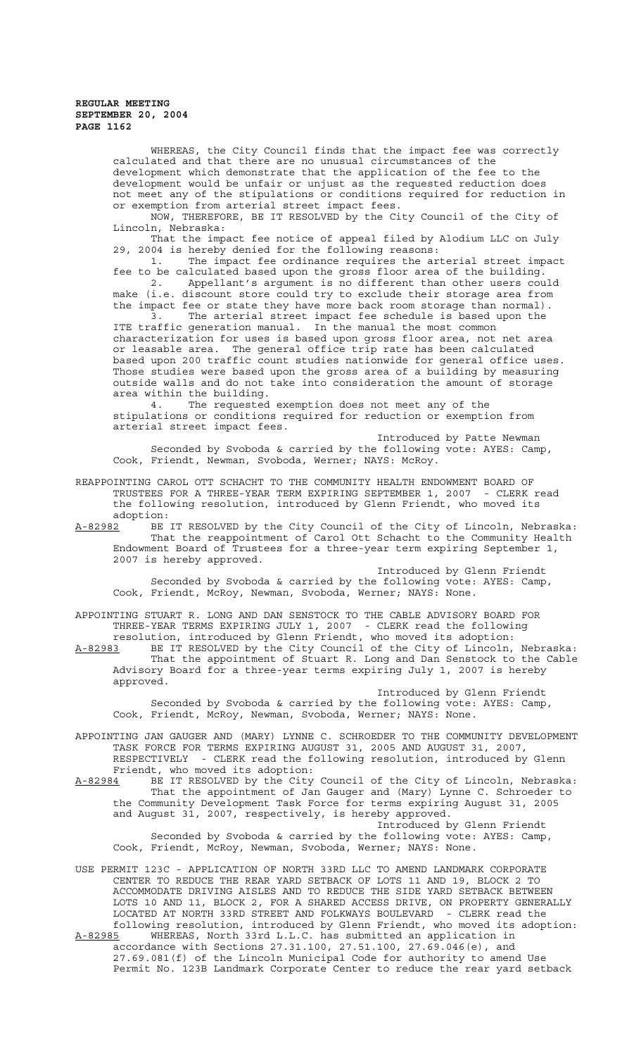WHEREAS, the City Council finds that the impact fee was correctly calculated and that there are no unusual circumstances of the development which demonstrate that the application of the fee to the development would be unfair or unjust as the requested reduction does not meet any of the stipulations or conditions required for reduction in or exemption from arterial street impact fees.

NOW, THEREFORE, BE IT RESOLVED by the City Council of the City of Lincoln, Nebraska:

That the impact fee notice of appeal filed by Alodium LLC on July 29, 2004 is hereby denied for the following reasons:

1. The impact fee ordinance requires the arterial street impact fee to be calculated based upon the gross floor area of the building. 2. Appellant's argument is no different than other users could make (i.e. discount store could try to exclude their storage area from the impact fee or state they have more back room storage than normal).

The arterial street impact fee schedule is based upon the ITE traffic generation manual. In the manual the most common characterization for uses is based upon gross floor area, not net area or leasable area. The general office trip rate has been calculated based upon 200 traffic count studies nationwide for general office uses. Those studies were based upon the gross area of a building by measuring outside walls and do not take into consideration the amount of storage area within the building.

4. The requested exemption does not meet any of the stipulations or conditions required for reduction or exemption from arterial street impact fees.

Introduced by Patte Newman Seconded by Svoboda & carried by the following vote: AYES: Camp, Cook, Friendt, Newman, Svoboda, Werner; NAYS: McRoy.

REAPPOINTING CAROL OTT SCHACHT TO THE COMMUNITY HEALTH ENDOWMENT BOARD OF TRUSTEES FOR A THREE-YEAR TERM EXPIRING SEPTEMBER 1, 2007 - CLERK read the following resolution, introduced by Glenn Friendt, who moved its

adoption:<br><u>A-82982</u> BE A-82982 BE IT RESOLVED by the City Council of the City of Lincoln, Nebraska: That the reappointment of Carol Ott Schacht to the Community Health Endowment Board of Trustees for a three-year term expiring September 1, 2007 is hereby approved.

Introduced by Glenn Friendt Seconded by Svoboda & carried by the following vote: AYES: Camp, Cook, Friendt, McRoy, Newman, Svoboda, Werner; NAYS: None.

APPOINTING STUART R. LONG AND DAN SENSTOCK TO THE CABLE ADVISORY BOARD FOR THREE-YEAR TERMS EXPIRING JULY 1, 2007 - CLERK read the following

resolution, introduced by Glenn Friendt, who moved its adoption: A-82983 BE IT RESOLVED by the City Council of the City of Lincoln, Nebraska: That the appointment of Stuart R. Long and Dan Senstock to the Cable Advisory Board for a three-year terms expiring July 1, 2007 is hereby approved.

Introduced by Glenn Friendt Seconded by Svoboda & carried by the following vote: AYES: Camp, Cook, Friendt, McRoy, Newman, Svoboda, Werner; NAYS: None.

APPOINTING JAN GAUGER AND (MARY) LYNNE C. SCHROEDER TO THE COMMUNITY DEVELOPMENT TASK FORCE FOR TERMS EXPIRING AUGUST 31, 2005 AND AUGUST 31, 2007, RESPECTIVELY - CLERK read the following resolution, introduced by Glenn Friendt, who moved its adoption:

A-82984 BE IT RESOLVED by the City Council of the City of Lincoln, Nebraska: That the appointment of Jan Gauger and (Mary) Lynne C. Schroeder to the Community Development Task Force for terms expiring August 31, 2005 and August 31, 2007, respectively, is hereby approved. Introduced by Glenn Friendt Seconded by Svoboda & carried by the following vote: AYES: Camp,

Cook, Friendt, McRoy, Newman, Svoboda, Werner; NAYS: None.

USE PERMIT 123C - APPLICATION OF NORTH 33RD LLC TO AMEND LANDMARK CORPORATE CENTER TO REDUCE THE REAR YARD SETBACK OF LOTS 11 AND 19, BLOCK 2 TO ACCOMMODATE DRIVING AISLES AND TO REDUCE THE SIDE YARD SETBACK BETWEEN LOTS 10 AND 11, BLOCK 2, FOR A SHARED ACCESS DRIVE, ON PROPERTY GENERALLY LOCATED AT NORTH 33RD STREET AND FOLKWAYS BOULEVARD - CLERK read the following resolution, introduced by Glenn Friendt, who moved its adoption:

A-82985 WHEREAS, North 33rd L.L.C. has submitted an application in accordance with Sections 27.31.100, 27.51.100, 27.69.046(e), and 27.69.081(f) of the Lincoln Municipal Code for authority to amend Use Permit No. 123B Landmark Corporate Center to reduce the rear yard setback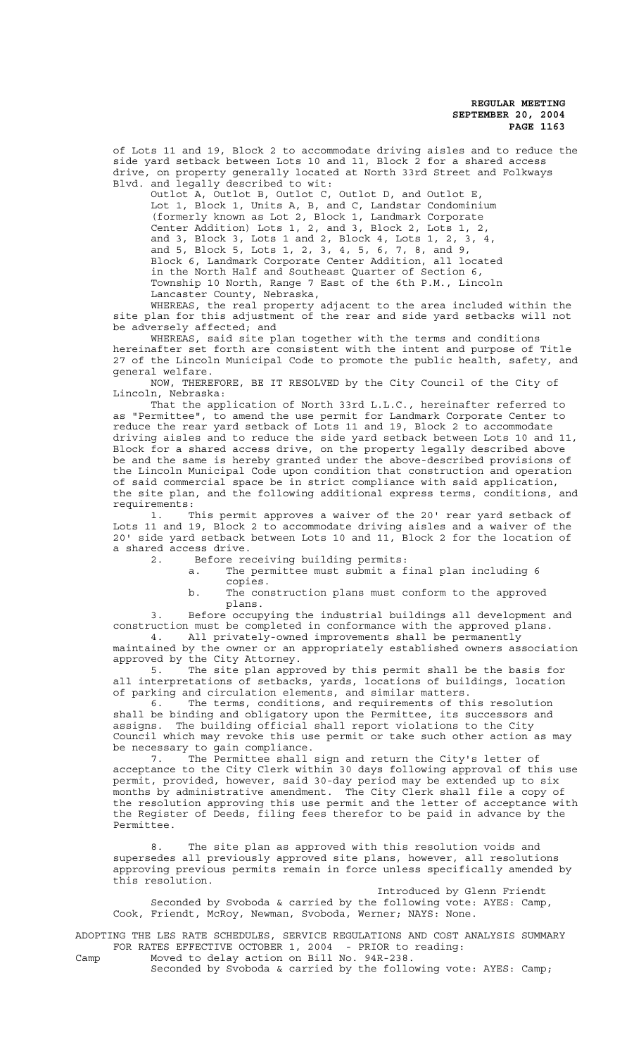of Lots 11 and 19, Block 2 to accommodate driving aisles and to reduce the side yard setback between Lots 10 and 11, Block 2 for a shared access drive, on property generally located at North 33rd Street and Folkways Blvd. and legally described to wit:

Outlot A, Outlot B, Outlot C, Outlot D, and Outlot E, Lot 1, Block 1, Units A, B, and C, Landstar Condominium (formerly known as Lot 2, Block 1, Landmark Corporate Center Addition) Lots 1, 2, and 3, Block 2, Lots 1, 2, and 3, Block 3, Lots 1 and 2, Block 4, Lots 1, 2, 3, 4, and 5, Block 5, Lots 1, 2, 3, 4, 5, 6, 7, 8, and 9, Block 6, Landmark Corporate Center Addition, all located in the North Half and Southeast Quarter of Section 6, Township 10 North, Range 7 East of the 6th P.M., Lincoln Lancaster County, Nebraska,

WHEREAS, the real property adjacent to the area included within the site plan for this adjustment of the rear and side yard setbacks will not be adversely affected; and

WHEREAS, said site plan together with the terms and conditions hereinafter set forth are consistent with the intent and purpose of Title 27 of the Lincoln Municipal Code to promote the public health, safety, and general welfare.

NOW, THEREFORE, BE IT RESOLVED by the City Council of the City of Lincoln, Nebraska:

That the application of North 33rd L.L.C., hereinafter referred to as "Permittee", to amend the use permit for Landmark Corporate Center to reduce the rear yard setback of Lots 11 and 19, Block 2 to accommodate driving aisles and to reduce the side yard setback between Lots 10 and 11, Block for a shared access drive, on the property legally described above be and the same is hereby granted under the above-described provisions of the Lincoln Municipal Code upon condition that construction and operation of said commercial space be in strict compliance with said application, the site plan, and the following additional express terms, conditions, and requirements:

1. This permit approves a waiver of the 20' rear yard setback of Lots 11 and 19, Block 2 to accommodate driving aisles and a waiver of the 20' side yard setback between Lots 10 and 11, Block 2 for the location of a shared access drive.

2. Before receiving building permits:

a. The permittee must submit a final plan including 6 copies.

b. The construction plans must conform to the approved plans.

3. Before occupying the industrial buildings all development and construction must be completed in conformance with the approved plans. 4. All privately-owned improvements shall be permanently

maintained by the owner or an appropriately established owners association approved by the City Attorney.

5. The site plan approved by this permit shall be the basis for all interpretations of setbacks, yards, locations of buildings, location of parking and circulation elements, and similar matters.

6. The terms, conditions, and requirements of this resolution shall be binding and obligatory upon the Permittee, its successors and assigns. The building official shall report violations to the City Council which may revoke this use permit or take such other action as may be necessary to gain compliance.

7. The Permittee shall sign and return the City's letter of acceptance to the City Clerk within 30 days following approval of this use permit, provided, however, said 30-day period may be extended up to six months by administrative amendment. The City Clerk shall file a copy of the resolution approving this use permit and the letter of acceptance with the Register of Deeds, filing fees therefor to be paid in advance by the Permittee.

8. The site plan as approved with this resolution voids and supersedes all previously approved site plans, however, all resolutions approving previous permits remain in force unless specifically amended by this resolution.

Introduced by Glenn Friendt Seconded by Svoboda & carried by the following vote: AYES: Camp, Cook, Friendt, McRoy, Newman, Svoboda, Werner; NAYS: None.

ADOPTING THE LES RATE SCHEDULES, SERVICE REGULATIONS AND COST ANALYSIS SUMMARY FOR RATES EFFECTIVE OCTOBER 1, 2004 - PRIOR to reading: Camp Moved to delay action on Bill No. 94R-238.

Seconded by Svoboda & carried by the following vote: AYES: Camp;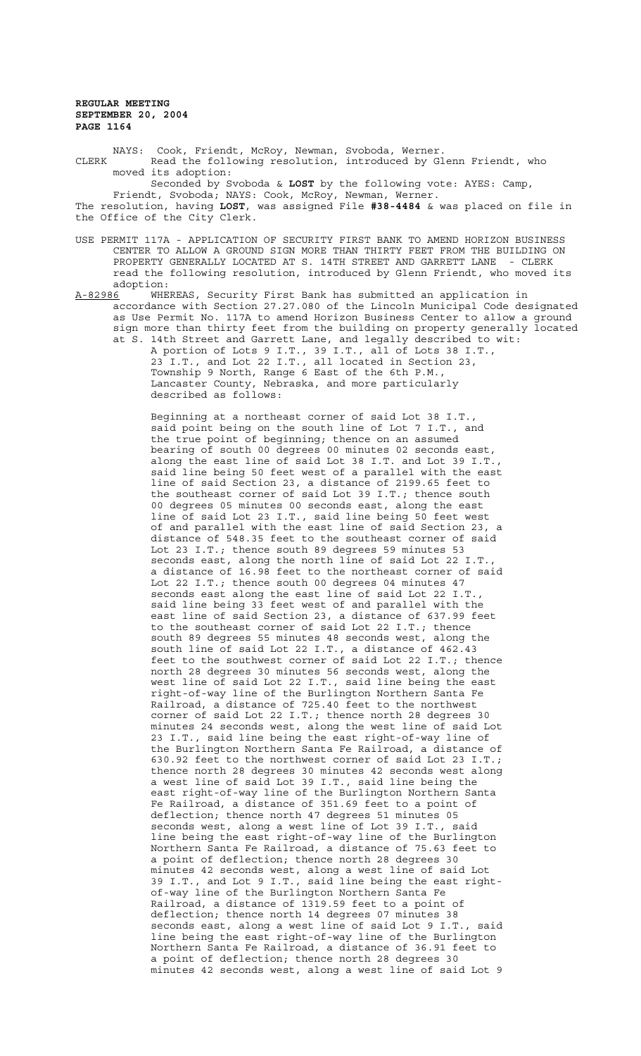NAYS: Cook, Friendt, McRoy, Newman, Svoboda, Werner. CLERK Read the following resolution, introduced by Glenn Friendt, who moved its adoption:

Seconded by Svoboda & **LOST** by the following vote: AYES: Camp, Friendt, Svoboda; NAYS: Cook, McRoy, Newman, Werner.

The resolution, having **LOST**, was assigned File **#38-4484** & was placed on file in the Office of the City Clerk.

- USE PERMIT 117A APPLICATION OF SECURITY FIRST BANK TO AMEND HORIZON BUSINESS CENTER TO ALLOW A GROUND SIGN MORE THAN THIRTY FEET FROM THE BUILDING ON PROPERTY GENERALLY LOCATED AT S. 14TH STREET AND GARRETT LANE - CLERK read the following resolution, introduced by Glenn Friendt, who moved its adoption:
- A-82986 WHEREAS, Security First Bank has submitted an application in accordance with Section 27.27.080 of the Lincoln Municipal Code designated as Use Permit No. 117A to amend Horizon Business Center to allow a ground sign more than thirty feet from the building on property generally located at S. 14th Street and Garrett Lane, and legally described to wit:

A portion of Lots 9 I.T., 39 I.T., all of Lots 38 I.T., 23 I.T., and Lot 22 I.T., all located in Section 23, Township 9 North, Range 6 East of the 6th P.M., Lancaster County, Nebraska, and more particularly described as follows:

Beginning at a northeast corner of said Lot 38 I.T., said point being on the south line of Lot 7 I.T., and the true point of beginning; thence on an assumed bearing of south 00 degrees 00 minutes 02 seconds east, along the east line of said Lot 38 I.T. and Lot 39 I.T., said line being 50 feet west of a parallel with the east line of said Section 23, a distance of 2199.65 feet to the southeast corner of said Lot 39 I.T.; thence south 00 degrees 05 minutes 00 seconds east, along the east line of said Lot 23 I.T., said line being 50 feet west of and parallel with the east line of said Section 23, a distance of 548.35 feet to the southeast corner of said Lot 23 I.T.; thence south 89 degrees 59 minutes 53 seconds east, along the north line of said Lot 22 I.T., a distance of 16.98 feet to the northeast corner of said Lot 22 I.T.; thence south 00 degrees 04 minutes 47 seconds east along the east line of said Lot 22 I.T., said line being 33 feet west of and parallel with the east line of said Section 23, a distance of 637.99 feet to the southeast corner of said Lot 22 I.T.; thence south 89 degrees 55 minutes 48 seconds west, along the south line of said Lot 22 I.T., a distance of 462.43 feet to the southwest corner of said Lot 22 I.T.; thence north 28 degrees 30 minutes 56 seconds west, along the west line of said Lot 22 I.T., said line being the east right-of-way line of the Burlington Northern Santa Fe Railroad, a distance of 725.40 feet to the northwest corner of said Lot 22 I.T.; thence north 28 degrees 30 minutes 24 seconds west, along the west line of said Lot 23 I.T., said line being the east right-of-way line of the Burlington Northern Santa Fe Railroad, a distance of 630.92 feet to the northwest corner of said Lot 23 I.T.; thence north 28 degrees 30 minutes 42 seconds west along a west line of said Lot 39 I.T., said line being the east right-of-way line of the Burlington Northern Santa Fe Railroad, a distance of 351.69 feet to a point of deflection; thence north 47 degrees 51 minutes 05 seconds west, along a west line of Lot 39 I.T., said line being the east right-of-way line of the Burlington Northern Santa Fe Railroad, a distance of 75.63 feet to a point of deflection; thence north 28 degrees 30 minutes 42 seconds west, along a west line of said Lot 39 I.T., and Lot 9 I.T., said line being the east rightof-way line of the Burlington Northern Santa Fe Railroad, a distance of 1319.59 feet to a point of deflection; thence north 14 degrees 07 minutes 38 seconds east, along a west line of said Lot 9 I.T., said line being the east right-of-way line of the Burlington Northern Santa Fe Railroad, a distance of 36.91 feet to a point of deflection; thence north 28 degrees 30 minutes 42 seconds west, along a west line of said Lot 9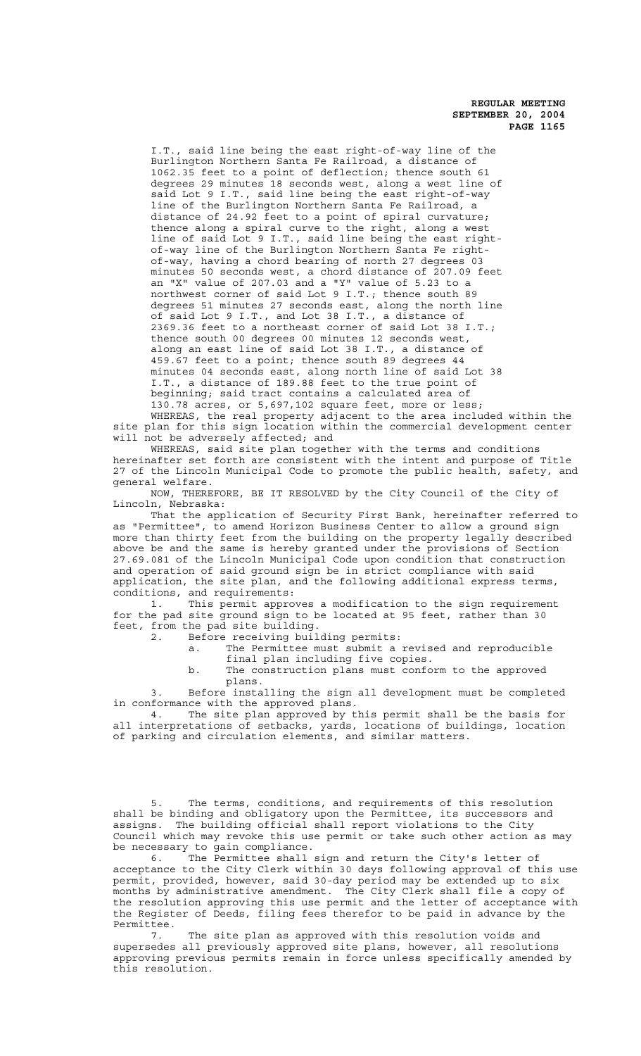I.T., said line being the east right-of-way line of the Burlington Northern Santa Fe Railroad, a distance of 1062.35 feet to a point of deflection; thence south 61 degrees 29 minutes 18 seconds west, along a west line of said Lot 9 I.T., said line being the east right-of-way line of the Burlington Northern Santa Fe Railroad, a distance of 24.92 feet to a point of spiral curvature; thence along a spiral curve to the right, along a west line of said Lot 9 I.T., said line being the east rightof-way line of the Burlington Northern Santa Fe rightof-way, having a chord bearing of north 27 degrees 03 minutes 50 seconds west, a chord distance of 207.09 feet an "X" value of 207.03 and a "Y" value of 5.23 to a northwest corner of said Lot 9 I.T.; thence south 89 degrees 51 minutes 27 seconds east, along the north line of said Lot 9 I.T., and Lot 38 I.T., a distance of 2369.36 feet to a northeast corner of said Lot 38 I.T.; thence south 00 degrees 00 minutes 12 seconds west, along an east line of said Lot 38 I.T., a distance of 459.67 feet to a point; thence south 89 degrees 44 minutes 04 seconds east, along north line of said Lot 38 I.T., a distance of 189.88 feet to the true point of beginning; said tract contains a calculated area of 130.78 acres, or 5,697,102 square feet, more or less; WHEREAS, the real property adjacent to the area included within the

site plan for this sign location within the commercial development center will not be adversely affected; and WHEREAS, said site plan together with the terms and conditions

hereinafter set forth are consistent with the intent and purpose of Title 27 of the Lincoln Municipal Code to promote the public health, safety, and general welfare.

NOW, THEREFORE, BE IT RESOLVED by the City Council of the City of Lincoln, Nebraska:

That the application of Security First Bank, hereinafter referred to as "Permittee", to amend Horizon Business Center to allow a ground sign more than thirty feet from the building on the property legally described above be and the same is hereby granted under the provisions of Section 27.69.081 of the Lincoln Municipal Code upon condition that construction and operation of said ground sign be in strict compliance with said application, the site plan, and the following additional express terms, conditions, and requirements:

1. This permit approves a modification to the sign requirement for the pad site ground sign to be located at 95 feet, rather than 30 feet, from the pad site building.

2. Before receiving building permits:

a. The Permittee must submit a revised and reproducible final plan including five copies.

b. The construction plans must conform to the approved plans.

3. Before installing the sign all development must be completed in conformance with the approved plans.

4. The site plan approved by this permit shall be the basis for all interpretations of setbacks, yards, locations of buildings, location of parking and circulation elements, and similar matters.

5. The terms, conditions, and requirements of this resolution shall be binding and obligatory upon the Permittee, its successors and assigns. The building official shall report violations to the City Council which may revoke this use permit or take such other action as may be necessary to gain compliance.

6. The Permittee shall sign and return the City's letter of acceptance to the City Clerk within 30 days following approval of this use permit, provided, however, said 30-day period may be extended up to six months by administrative amendment. The City Clerk shall file a copy of the resolution approving this use permit and the letter of acceptance with the Register of Deeds, filing fees therefor to be paid in advance by the Permittee.

7. The site plan as approved with this resolution voids and supersedes all previously approved site plans, however, all resolutions approving previous permits remain in force unless specifically amended by this resolution.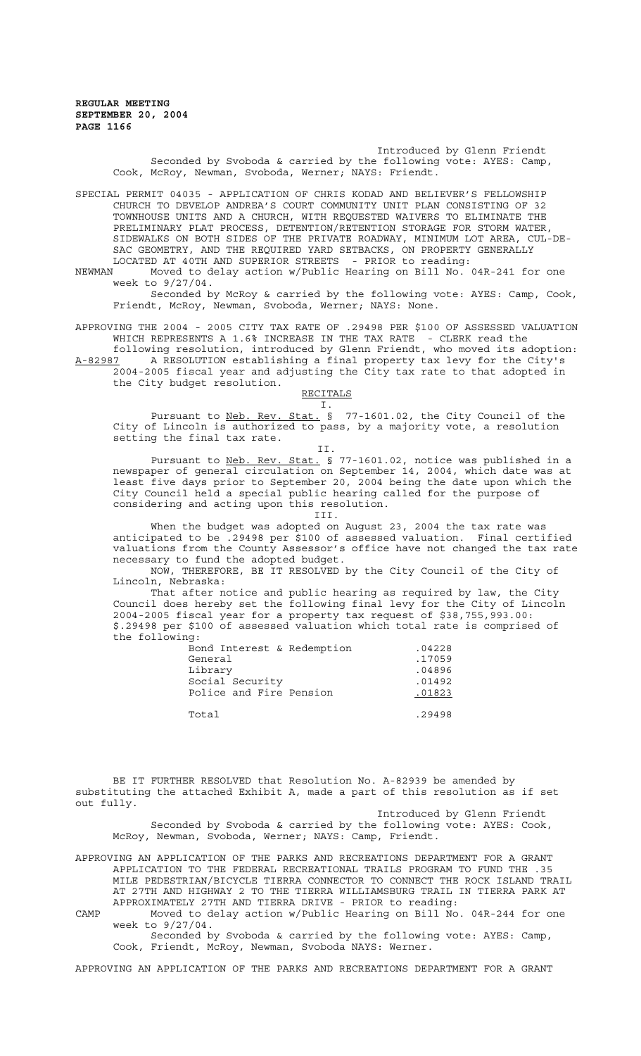Introduced by Glenn Friendt Seconded by Svoboda & carried by the following vote: AYES: Camp, Cook, McRoy, Newman, Svoboda, Werner; NAYS: Friendt.

SPECIAL PERMIT 04035 - APPLICATION OF CHRIS KODAD AND BELIEVER'S FELLOWSHIP CHURCH TO DEVELOP ANDREA'S COURT COMMUNITY UNIT PLAN CONSISTING OF 32 TOWNHOUSE UNITS AND A CHURCH, WITH REQUESTED WAIVERS TO ELIMINATE THE PRELIMINARY PLAT PROCESS, DETENTION/RETENTION STORAGE FOR STORM WATER, SIDEWALKS ON BOTH SIDES OF THE PRIVATE ROADWAY, MINIMUM LOT AREA, CUL-DE-SAC GEOMETRY, AND THE REQUIRED YARD SETBACKS, ON PROPERTY GENERALLY LOCATED AT 40TH AND SUPERIOR STREETS - PRIOR to reading:<br>NEWMAN Moved to delay action w/Public Hearing on Bill No.

Moved to delay action w/Public Hearing on Bill No. 04R-241 for one week to 9/27/04.

Seconded by McRoy & carried by the following vote: AYES: Camp, Cook, Friendt, McRoy, Newman, Svoboda, Werner; NAYS: None.

APPROVING THE 2004 - 2005 CITY TAX RATE OF .29498 PER \$100 OF ASSESSED VALUATION WHICH REPRESENTS A 1.6% INCREASE IN THE TAX RATE - CLERK read the following resolution, introduced by Glenn Friendt, who moved its adoption: A-82987 A RESOLUTION establishing a final property tax levy for the City's 2004-2005 fiscal year and adjusting the City tax rate to that adopted in the City budget resolution.

RECITALS

I. Pursuant to Neb. Rev. Stat. § 77-1601.02, the City Council of the City of Lincoln is authorized to pass, by a majority vote, a resolution setting the final tax rate.

II. Pursuant to <u>Neb. Rev. Stat.</u> § 77-1601.02, notice was published in a newspaper of general circulation on September 14, 2004, which date was at least five days prior to September 20, 2004 being the date upon which the City Council held a special public hearing called for the purpose of considering and acting upon this resolution.

III.

When the budget was adopted on August 23, 2004 the tax rate was anticipated to be .29498 per \$100 of assessed valuation. Final certified valuations from the County Assessor's office have not changed the tax rate necessary to fund the adopted budget.

NOW, THEREFORE, BE IT RESOLVED by the City Council of the City of Lincoln, Nebraska:

That after notice and public hearing as required by law, the City Council does hereby set the following final levy for the City of Lincoln 2004-2005 fiscal year for a property tax request of \$38,755,993.00: \$.29498 per \$100 of assessed valuation which total rate is comprised of the following:

| Bond Interest & Redemption | .04228 |
|----------------------------|--------|
| General                    | .17059 |
| Library                    | .04896 |
| Social Security            | .01492 |
| Police and Fire Pension    | .01823 |
|                            |        |
| Total                      | .29498 |

BE IT FURTHER RESOLVED that Resolution No. A-82939 be amended by substituting the attached Exhibit A, made a part of this resolution as if set out fully.

Introduced by Glenn Friendt Seconded by Svoboda & carried by the following vote: AYES: Cook, McRoy, Newman, Svoboda, Werner; NAYS: Camp, Friendt.

APPROVING AN APPLICATION OF THE PARKS AND RECREATIONS DEPARTMENT FOR A GRANT APPLICATION TO THE FEDERAL RECREATIONAL TRAILS PROGRAM TO FUND THE .35 MILE PEDESTRIAN/BICYCLE TIERRA CONNECTOR TO CONNECT THE ROCK ISLAND TRAIL AT 27TH AND HIGHWAY 2 TO THE TIERRA WILLIAMSBURG TRAIL IN TIERRA PARK AT APPROXIMATELY 27TH AND TIERRA DRIVE - PRIOR to reading:

CAMP Moved to delay action w/Public Hearing on Bill No. 04R-244 for one week to 9/27/04.

Seconded by Svoboda & carried by the following vote: AYES: Camp, Cook, Friendt, McRoy, Newman, Svoboda NAYS: Werner.

APPROVING AN APPLICATION OF THE PARKS AND RECREATIONS DEPARTMENT FOR A GRANT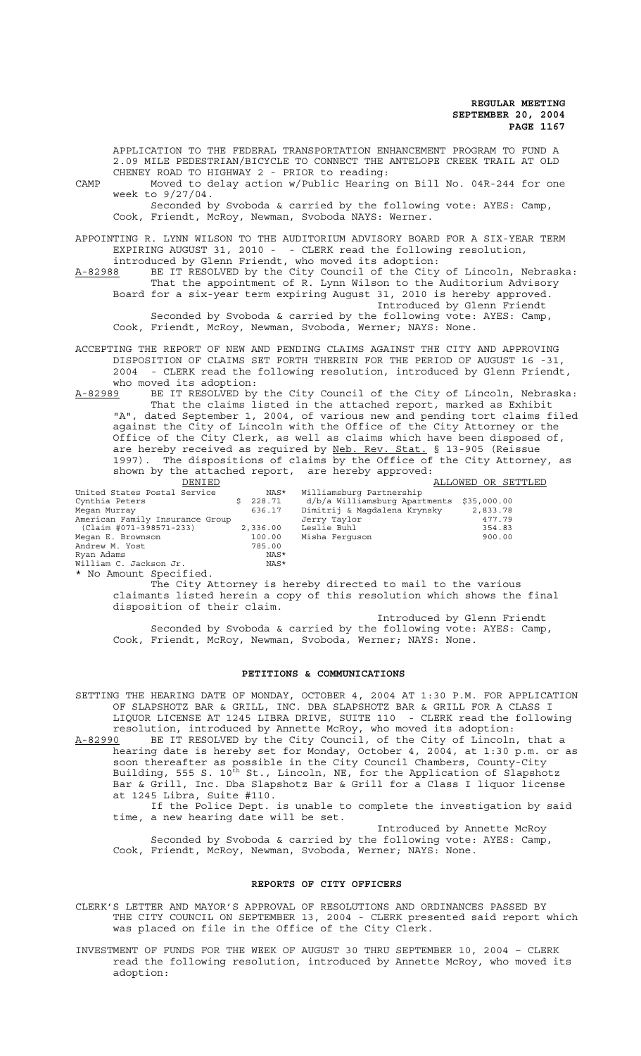APPLICATION TO THE FEDERAL TRANSPORTATION ENHANCEMENT PROGRAM TO FUND A 2.09 MILE PEDESTRIAN/BICYCLE TO CONNECT THE ANTELOPE CREEK TRAIL AT OLD CHENEY ROAD TO HIGHWAY 2 - PRIOR to reading:

CAMP Moved to delay action w/Public Hearing on Bill No. 04R-244 for one week to 9/27/04. Seconded by Svoboda & carried by the following vote: AYES: Camp,

Cook, Friendt, McRoy, Newman, Svoboda NAYS: Werner.

APPOINTING R. LYNN WILSON TO THE AUDITORIUM ADVISORY BOARD FOR A SIX-YEAR TERM EXPIRING AUGUST 31, 2010 - - CLERK read the following resolution, introduced by Glenn Friendt, who moved its adoption:

A-82988 BE IT RESOLVED by the City Council of the City of Lincoln, Nebraska: That the appointment of R. Lynn Wilson to the Auditorium Advisory Board for a six-year term expiring August 31, 2010 is hereby approved. Introduced by Glenn Friendt Seconded by Svoboda & carried by the following vote: AYES: Camp,

Cook, Friendt, McRoy, Newman, Svoboda, Werner; NAYS: None.

ACCEPTING THE REPORT OF NEW AND PENDING CLAIMS AGAINST THE CITY AND APPROVING DISPOSITION OF CLAIMS SET FORTH THEREIN FOR THE PERIOD OF AUGUST 16 -31, 2004 - CLERK read the following resolution, introduced by Glenn Friendt, who moved its adoption:

A-82989 BE IT RESOLVED by the City Council of the City of Lincoln, Nebraska: That the claims listed in the attached report, marked as Exhibit "A", dated September 1, 2004, of various new and pending tort claims filed against the City of Lincoln with the Office of the City Attorney or the Office of the City Clerk, as well as claims which have been disposed of, are hereby received as required by Neb. Rev. Stat. § 13-905 (Reissue 1997). The dispositions of claims by the Office of the City Attorney, as shown by the attached report, are hereby approved:<br>
DENIED

| DENIED                          |          |                                           | ALLOWED OR SETTLED |
|---------------------------------|----------|-------------------------------------------|--------------------|
| United States Postal Service    | NAS*     | Williamsburg Partnership                  |                    |
| Cynthia Peters                  | 228.71   | d/b/a Williamsburg Apartments \$35,000.00 |                    |
| Megan Murray                    | 636.17   | Dimitrij & Magdalena Krynsky              | 2,833.78           |
| American Family Insurance Group |          | Jerry Taylor                              | 477.79             |
| (Claim #071-398571-233)         | 2,336.00 | Leslie Buhl                               | 354.83             |
| Megan E. Brownson               | 100.00   | Misha Ferquson                            | 900.00             |
| Andrew M. Yost                  | 785.00   |                                           |                    |
| Ryan Adams                      | NAS*     |                                           |                    |
| William C. Jackson Jr.          | NAS*     |                                           |                    |

\* No Amount Specified.

The City Attorney is hereby directed to mail to the various claimants listed herein a copy of this resolution which shows the final disposition of their claim.

Introduced by Glenn Friendt Seconded by Svoboda & carried by the following vote: AYES: Camp, Cook, Friendt, McRoy, Newman, Svoboda, Werner; NAYS: None.

#### **PETITIONS & COMMUNICATIONS**

SETTING THE HEARING DATE OF MONDAY, OCTOBER 4, 2004 AT 1:30 P.M. FOR APPLICATION OF SLAPSHOTZ BAR & GRILL, INC. DBA SLAPSHOTZ BAR & GRILL FOR A CLASS I LIQUOR LICENSE AT 1245 LIBRA DRIVE, SUITE 110 - CLERK read the following resolution, introduced by Annette McRoy, who moved its adoption:

A-82990 BE IT RESOLVED by the City Council, of the City of Lincoln, that a hearing date is hereby set for Monday, October 4, 2004, at 1:30 p.m. or as soon thereafter as possible in the City Council Chambers, County-City Building, 555 S. 10<sup>th</sup> St., Lincoln, NE, for the Application of Slapshotz Bar & Grill, Inc. Dba Slapshotz Bar & Grill for a Class I liquor license at 1245 Libra, Suite #110.

If the Police Dept. is unable to complete the investigation by said time, a new hearing date will be set.

Introduced by Annette McRoy Seconded by Svoboda & carried by the following vote: AYES: Camp, Cook, Friendt, McRoy, Newman, Svoboda, Werner; NAYS: None.

## **REPORTS OF CITY OFFICERS**

CLERK'S LETTER AND MAYOR'S APPROVAL OF RESOLUTIONS AND ORDINANCES PASSED BY THE CITY COUNCIL ON SEPTEMBER 13, 2004 - CLERK presented said report which was placed on file in the Office of the City Clerk.

INVESTMENT OF FUNDS FOR THE WEEK OF AUGUST 30 THRU SEPTEMBER 10, 2004 – CLERK read the following resolution, introduced by Annette McRoy, who moved its adoption: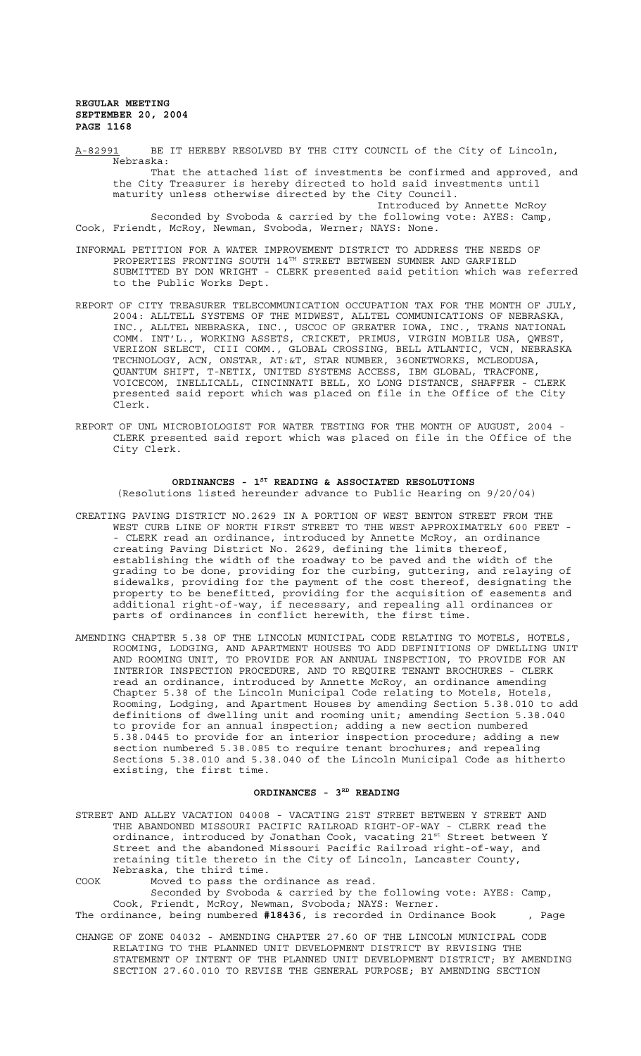A-82991 BE IT HEREBY RESOLVED BY THE CITY COUNCIL of the City of Lincoln, Nebraska: That the attached list of investments be confirmed and approved, and the City Treasurer is hereby directed to hold said investments until maturity unless otherwise directed by the City Council. Introduced by Annette McRoy Seconded by Svoboda & carried by the following vote: AYES: Camp, Cook, Friendt, McRoy, Newman, Svoboda, Werner; NAYS: None.

- INFORMAL PETITION FOR A WATER IMPROVEMENT DISTRICT TO ADDRESS THE NEEDS OF PROPERTIES FRONTING SOUTH  $14^{\text{TH}}$  STREET BETWEEN SUMNER AND GARFIELD SUBMITTED BY DON WRIGHT - CLERK presented said petition which was referred to the Public Works Dept.
- REPORT OF CITY TREASURER TELECOMMUNICATION OCCUPATION TAX FOR THE MONTH OF JULY, 2004: ALLTELL SYSTEMS OF THE MIDWEST, ALLTEL COMMUNICATIONS OF NEBRASKA, INC., ALLTEL NEBRASKA, INC., USCOC OF GREATER IOWA, INC., TRANS NATIONAL COMM. INT'L., WORKING ASSETS, CRICKET, PRIMUS, VIRGIN MOBILE USA, QWEST, VERIZON SELECT, CIII COMM., GLOBAL CROSSING, BELL ATLANTIC, VCN, NEBRASKA TECHNOLOGY, ACN, ONSTAR, AT:&T, STAR NUMBER, 36ONETWORKS, MCLEODUSA, QUANTUM SHIFT, T-NETIX, UNITED SYSTEMS ACCESS, IBM GLOBAL, TRACFONE, VOICECOM, INELLICALL, CINCINNATI BELL, XO LONG DISTANCE, SHAFFER - CLERK presented said report which was placed on file in the Office of the City Clerk.
- REPORT OF UNL MICROBIOLOGIST FOR WATER TESTING FOR THE MONTH OF AUGUST, 2004 CLERK presented said report which was placed on file in the Office of the City Clerk.

# ORDINANCES - 1<sup>st</sup> READING & ASSOCIATED RESOLUTIONS

(Resolutions listed hereunder advance to Public Hearing on 9/20/04)

- CREATING PAVING DISTRICT NO.2629 IN A PORTION OF WEST BENTON STREET FROM THE WEST CURB LINE OF NORTH FIRST STREET TO THE WEST APPROXIMATELY 600 FEET - - CLERK read an ordinance, introduced by Annette McRoy, an ordinance creating Paving District No. 2629, defining the limits thereof, establishing the width of the roadway to be paved and the width of the grading to be done, providing for the curbing, guttering, and relaying of sidewalks, providing for the payment of the cost thereof, designating the property to be benefitted, providing for the acquisition of easements and additional right-of-way, if necessary, and repealing all ordinances or parts of ordinances in conflict herewith, the first time.
- AMENDING CHAPTER 5.38 OF THE LINCOLN MUNICIPAL CODE RELATING TO MOTELS, HOTELS, ROOMING, LODGING, AND APARTMENT HOUSES TO ADD DEFINITIONS OF DWELLING UNIT AND ROOMING UNIT, TO PROVIDE FOR AN ANNUAL INSPECTION, TO PROVIDE FOR AN INTERIOR INSPECTION PROCEDURE, AND TO REQUIRE TENANT BROCHURES - CLERK read an ordinance, introduced by Annette McRoy, an ordinance amending Chapter 5.38 of the Lincoln Municipal Code relating to Motels, Hotels, Rooming, Lodging, and Apartment Houses by amending Section 5.38.010 to add definitions of dwelling unit and rooming unit; amending Section 5.38.040 to provide for an annual inspection; adding a new section numbered 5.38.0445 to provide for an interior inspection procedure; adding a new section numbered 5.38.085 to require tenant brochures; and repealing Sections 5.38.010 and 5.38.040 of the Lincoln Municipal Code as hitherto existing, the first time.

## ORDINANCES - 3RD READING

STREET AND ALLEY VACATION 04008 - VACATING 21ST STREET BETWEEN Y STREET AND THE ABANDONED MISSOURI PACIFIC RAILROAD RIGHT-OF-WAY - CLERK read the ordinance, introduced by Jonathan Cook, vacating 21st Street between Y Street and the abandoned Missouri Pacific Railroad right-of-way, and retaining title thereto in the City of Lincoln, Lancaster County, Nebraska, the third time.

COOK Moved to pass the ordinance as read. Seconded by Svoboda & carried by the following vote: AYES: Camp, Cook, Friendt, McRoy, Newman, Svoboda; NAYS: Werner.

The ordinance, being numbered **#18436**, is recorded in Ordinance Book , Page

CHANGE OF ZONE 04032 - AMENDING CHAPTER 27.60 OF THE LINCOLN MUNICIPAL CODE RELATING TO THE PLANNED UNIT DEVELOPMENT DISTRICT BY REVISING THE STATEMENT OF INTENT OF THE PLANNED UNIT DEVELOPMENT DISTRICT; BY AMENDING SECTION 27.60.010 TO REVISE THE GENERAL PURPOSE; BY AMENDING SECTION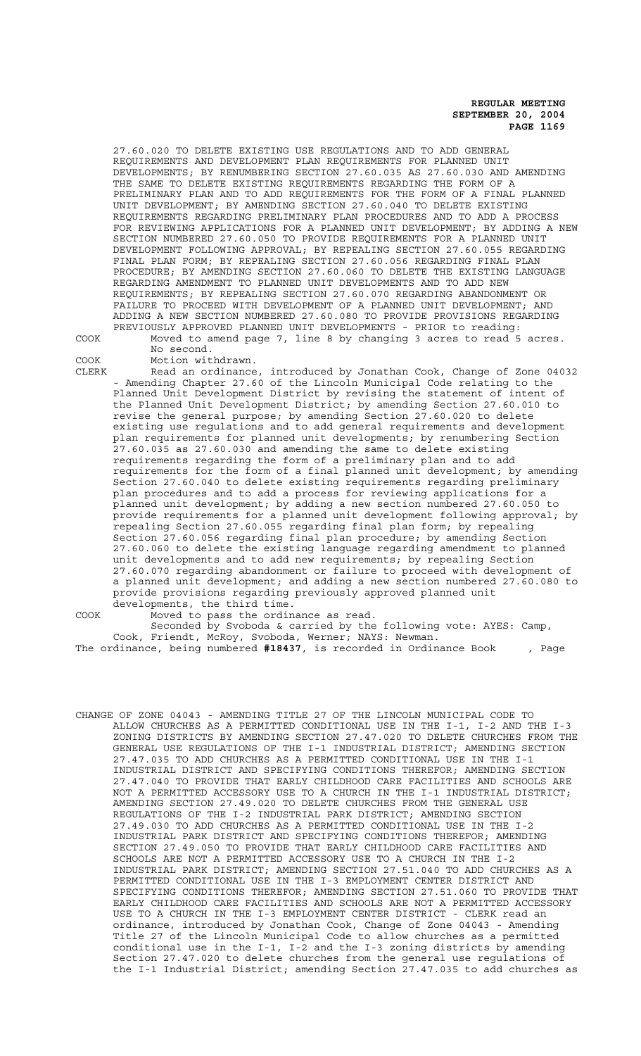CHANGE OF ZONE 04043 - AMENDING TITLE 27 OF THE LINCOLN MUNICIPAL CODE TO ALLOW CHURCHES AS A PERMITTED CONDITIONAL USE IN THE I-1, I-2 AND THE I-3 ZONING DISTRICTS BY AMENDING SECTION 27.47.020 TO DELETE CHURCHES FROM THE GENERAL USE REGULATIONS OF THE I-1 INDUSTRIAL DISTRICT; AMENDING SECTION 27.47.035 TO ADD CHURCHES AS A PERMITTED CONDITIONAL USE IN THE I-1 INDUSTRIAL DISTRICT AND SPECIFYING CONDITIONS THEREFOR; AMENDING SECTION 27.47.040 TO PROVIDE THAT EARLY CHILDHOOD CARE FACILITIES AND SCHOOLS ARE NOT A PERMITTED ACCESSORY USE TO A CHURCH IN THE I-1 INDUSTRIAL DISTRICT; AMENDING SECTION 27.49.020 TO DELETE CHURCHES FROM THE GENERAL USE REGULATIONS OF THE I-2 INDUSTRIAL PARK DISTRICT; AMENDING SECTION 27.49.030 TO ADD CHURCHES AS A PERMITTED CONDITIONAL USE IN THE I-2 INDUSTRIAL PARK DISTRICT AND SPECIFYING CONDITIONS THEREFOR; AMENDING SECTION 27.49.050 TO PROVIDE THAT EARLY CHILDHOOD CARE FACILITIES AND SCHOOLS ARE NOT A PERMITTED ACCESSORY USE TO A CHURCH IN THE I-2 INDUSTRIAL PARK DISTRICT; AMENDING SECTION 27.51.040 TO ADD CHURCHES AS A PERMITTED CONDITIONAL USE IN THE I-3 EMPLOYMENT CENTER DISTRICT AND SPECIFYING CONDITIONS THEREFOR; AMENDING SECTION 27.51.060 TO PROVIDE THAT EARLY CHILDHOOD CARE FACILITIES AND SCHOOLS ARE NOT A PERMITTED ACCESSORY USE TO A CHURCH IN THE I-3 EMPLOYMENT CENTER DISTRICT - CLERK read an ordinance, introduced by Jonathan Cook, Change of Zone 04043 - Amending Title 27 of the Lincoln Municipal Code to allow churches as a permitted conditional use in the I-1,  $I-2$  and the I-3 zoning districts by amending Section 27.47.020 to delete churches from the general use regulations of the I-1 Industrial District; amending Section 27.47.035 to add churches as

provide provisions regarding previously approved planned unit developments, the third time. COOK Moved to pass the ordinance as read. Seconded by Svoboda & carried by the following vote: AYES: Camp, Cook, Friendt, McRoy, Svoboda, Werner; NAYS: Newman. The ordinance, being numbered **#18437**, is recorded in Ordinance Book , Page

- COOK Motion withdrawn. CLERK Read an ordinance, introduced by Jonathan Cook, Change of Zone 04032 - Amending Chapter 27.60 of the Lincoln Municipal Code relating to the Planned Unit Development District by revising the statement of intent of the Planned Unit Development District; by amending Section 27.60.010 to revise the general purpose; by amending Section 27.60.020 to delete existing use regulations and to add general requirements and development plan requirements for planned unit developments; by renumbering Section 27.60.035 as 27.60.030 and amending the same to delete existing requirements regarding the form of a preliminary plan and to add requirements for the form of a final planned unit development; by amending Section 27.60.040 to delete existing requirements regarding preliminary plan procedures and to add a process for reviewing applications for a planned unit development; by adding a new section numbered 27.60.050 to provide requirements for a planned unit development following approval; by repealing Section 27.60.055 regarding final plan form; by repealing Section 27.60.056 regarding final plan procedure; by amending Section 27.60.060 to delete the existing language regarding amendment to planned unit developments and to add new requirements; by repealing Section 27.60.070 regarding abandonment or failure to proceed with development of a planned unit development; and adding a new section numbered 27.60.080 to
- COOK Moved to amend page 7, line 8 by changing 3 acres to read 5 acres.

No second.

27.60.020 TO DELETE EXISTING USE REGULATIONS AND TO ADD GENERAL REQUIREMENTS AND DEVELOPMENT PLAN REQUIREMENTS FOR PLANNED UNIT DEVELOPMENTS; BY RENUMBERING SECTION 27.60.035 AS 27.60.030 AND AMENDING THE SAME TO DELETE EXISTING REQUIREMENTS REGARDING THE FORM OF A PRELIMINARY PLAN AND TO ADD REQUIREMENTS FOR THE FORM OF A FINAL PLANNED UNIT DEVELOPMENT; BY AMENDING SECTION 27.60.040 TO DELETE EXISTING REQUIREMENTS REGARDING PRELIMINARY PLAN PROCEDURES AND TO ADD A PROCESS FOR REVIEWING APPLICATIONS FOR A PLANNED UNIT DEVELOPMENT; BY ADDING A NEW SECTION NUMBERED 27.60.050 TO PROVIDE REQUIREMENTS FOR A PLANNED UNIT DEVELOPMENT FOLLOWING APPROVAL; BY REPEALING SECTION 27.60.055 REGARDING FINAL PLAN FORM; BY REPEALING SECTION 27.60.056 REGARDING FINAL PLAN PROCEDURE; BY AMENDING SECTION 27.60.060 TO DELETE THE EXISTING LANGUAGE REGARDING AMENDMENT TO PLANNED UNIT DEVELOPMENTS AND TO ADD NEW REQUIREMENTS; BY REPEALING SECTION 27.60.070 REGARDING ABANDONMENT OR FAILURE TO PROCEED WITH DEVELOPMENT OF A PLANNED UNIT DEVELOPMENT; AND ADDING A NEW SECTION NUMBERED 27.60.080 TO PROVIDE PROVISIONS REGARDING PREVIOUSLY APPROVED PLANNED UNIT DEVELOPMENTS - PRIOR to reading:

 **REGULAR MEETING SEPTEMBER 20, 2004 PAGE 1169**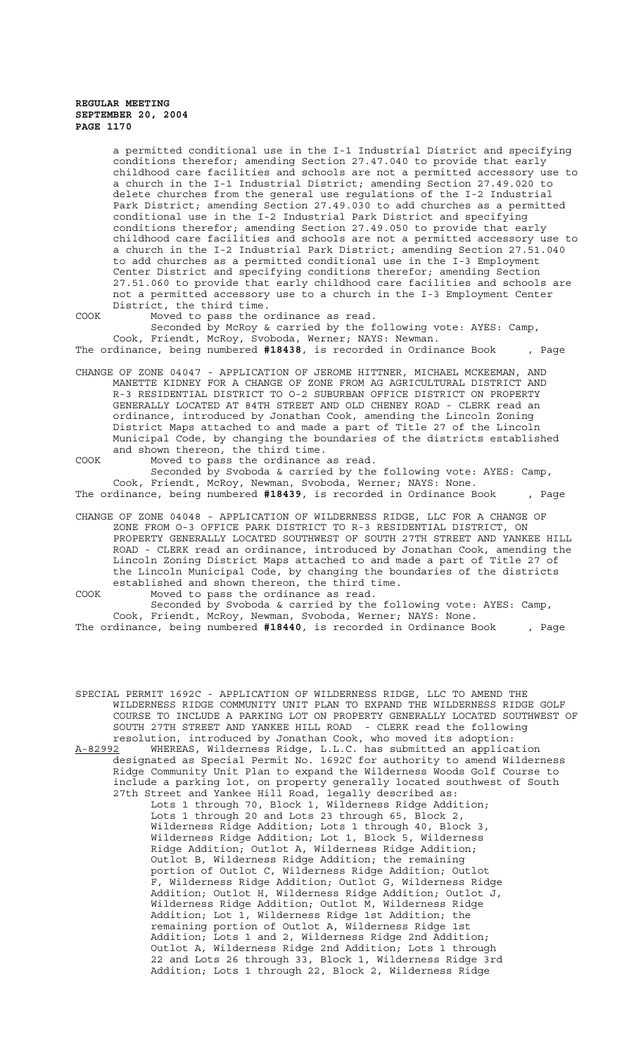a permitted conditional use in the I-1 Industrial District and specifying conditions therefor; amending Section 27.47.040 to provide that early childhood care facilities and schools are not a permitted accessory use to a church in the I-1 Industrial District; amending Section 27.49.020 to delete churches from the general use regulations of the I-2 Industrial Park District; amending Section 27.49.030 to add churches as a permitted conditional use in the I-2 Industrial Park District and specifying conditions therefor; amending Section 27.49.050 to provide that early childhood care facilities and schools are not a permitted accessory use to a church in the I-2 Industrial Park District; amending Section 27.51.040 to add churches as a permitted conditional use in the I-3 Employment Center District and specifying conditions therefor; amending Section 27.51.060 to provide that early childhood care facilities and schools are not a permitted accessory use to a church in the I-3 Employment Center District, the third time.

COOK Moved to pass the ordinance as read.

Seconded by McRoy & carried by the following vote: AYES: Camp, Cook, Friendt, McRoy, Svoboda, Werner; NAYS: Newman.

The ordinance, being numbered **#18438**, is recorded in Ordinance Book , Page

- CHANGE OF ZONE 04047 APPLICATION OF JEROME HITTNER, MICHAEL MCKEEMAN, AND MANETTE KIDNEY FOR A CHANGE OF ZONE FROM AG AGRICULTURAL DISTRICT AND R-3 RESIDENTIAL DISTRICT TO O-2 SUBURBAN OFFICE DISTRICT ON PROPERTY GENERALLY LOCATED AT 84TH STREET AND OLD CHENEY ROAD - CLERK read an ordinance, introduced by Jonathan Cook, amending the Lincoln Zoning District Maps attached to and made a part of Title 27 of the Lincoln Municipal Code, by changing the boundaries of the districts established and shown thereon, the third time.
- COOK Moved to pass the ordinance as read. Seconded by Svoboda & carried by the following vote: AYES: Camp, Cook, Friendt, McRoy, Newman, Svoboda, Werner; NAYS: None.

The ordinance, being numbered **#18439**, is recorded in Ordinance Book , Page

CHANGE OF ZONE 04048 - APPLICATION OF WILDERNESS RIDGE, LLC FOR A CHANGE OF ZONE FROM O-3 OFFICE PARK DISTRICT TO R-3 RESIDENTIAL DISTRICT, ON PROPERTY GENERALLY LOCATED SOUTHWEST OF SOUTH 27TH STREET AND YANKEE HILL ROAD - CLERK read an ordinance, introduced by Jonathan Cook, amending the Lincoln Zoning District Maps attached to and made a part of Title 27 of the Lincoln Municipal Code, by changing the boundaries of the districts established and shown thereon, the third time.

COOK Moved to pass the ordinance as read. Seconded by Svoboda & carried by the following vote: AYES: Camp, Cook, Friendt, McRoy, Newman, Svoboda, Werner; NAYS: None.

The ordinance, being numbered **#18440**, is recorded in Ordinance Book , Page

SPECIAL PERMIT 1692C - APPLICATION OF WILDERNESS RIDGE, LLC TO AMEND THE WILDERNESS RIDGE COMMUNITY UNIT PLAN TO EXPAND THE WILDERNESS RIDGE GOLF COURSE TO INCLUDE A PARKING LOT ON PROPERTY GENERALLY LOCATED SOUTHWEST OF SOUTH 27TH STREET AND YANKEE HILL ROAD - CLERK read the following resolution, introduced by Jonathan Cook, who moved its adoption: A-82992 MHEREAS, Wilderness Ridge, L.L.C. has submitted an application designated as Special Permit No. 1692C for authority to amend Wilderness Ridge Community Unit Plan to expand the Wilderness Woods Golf Course to include a parking lot, on property generally located southwest of South 27th Street and Yankee Hill Road, legally described as: Lots 1 through 70, Block 1, Wilderness Ridge Addition; Lots 1 through 20 and Lots 23 through 65, Block 2, Wilderness Ridge Addition; Lots 1 through 40, Block 3, Wilderness Ridge Addition; Lot 1, Block 5, Wilderness Ridge Addition; Outlot A, Wilderness Ridge Addition; Outlot B, Wilderness Ridge Addition; the remaining portion of Outlot C, Wilderness Ridge Addition; Outlot F, Wilderness Ridge Addition; Outlot G, Wilderness Ridge Addition; Outlot H, Wilderness Ridge Addition; Outlot J, Wilderness Ridge Addition; Outlot M, Wilderness Ridge Addition; Lot 1, Wilderness Ridge 1st Addition; the remaining portion of Outlot A, Wilderness Ridge 1st Addition; Lots 1 and 2, Wilderness Ridge 2nd Addition; Outlot A, Wilderness Ridge 2nd Addition; Lots 1 through 22 and Lots 26 through 33, Block 1, Wilderness Ridge 3rd Addition; Lots 1 through 22, Block 2, Wilderness Ridge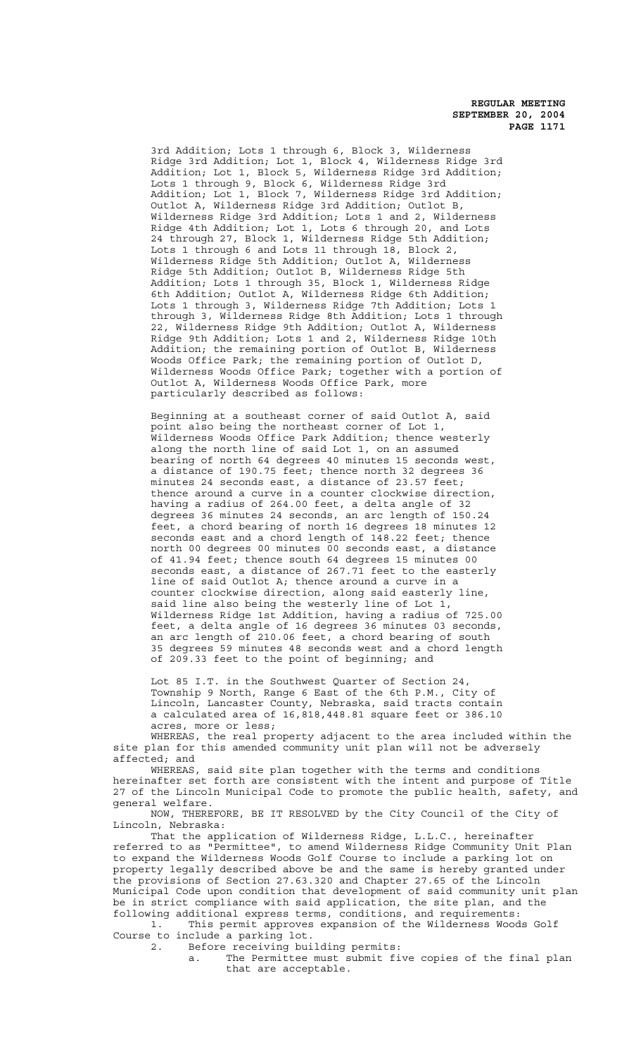3rd Addition; Lots 1 through 6, Block 3, Wilderness Ridge 3rd Addition; Lot 1, Block 4, Wilderness Ridge 3rd Addition; Lot 1, Block 5, Wilderness Ridge 3rd Addition; Lots 1 through 9, Block 6, Wilderness Ridge 3rd Addition; Lot 1, Block 7, Wilderness Ridge 3rd Addition; Outlot A, Wilderness Ridge 3rd Addition; Outlot B, Wilderness Ridge 3rd Addition; Lots 1 and 2, Wilderness Ridge 4th Addition; Lot 1, Lots 6 through 20, and Lots 24 through 27, Block 1, Wilderness Ridge 5th Addition; Lots 1 through 6 and Lots 11 through 18, Block 2, Wilderness Ridge 5th Addition; Outlot A, Wilderness Ridge 5th Addition; Outlot B, Wilderness Ridge 5th Addition; Lots 1 through 35, Block 1, Wilderness Ridge 6th Addition; Outlot A, Wilderness Ridge 6th Addition; Lots 1 through 3, Wilderness Ridge 7th Addition; Lots 1 through 3, Wilderness Ridge 8th Addition; Lots 1 through 22, Wilderness Ridge 9th Addition; Outlot A, Wilderness Ridge 9th Addition; Lots 1 and 2, Wilderness Ridge 10th Addition; the remaining portion of Outlot B, Wilderness Woods Office Park; the remaining portion of Outlot D, Wilderness Woods Office Park; together with a portion of Outlot A, Wilderness Woods Office Park, more particularly described as follows:

Beginning at a southeast corner of said Outlot A, said point also being the northeast corner of Lot 1, Wilderness Woods Office Park Addition; thence westerly along the north line of said Lot 1, on an assumed bearing of north 64 degrees 40 minutes 15 seconds west, a distance of 190.75 feet; thence north 32 degrees 36 minutes 24 seconds east, a distance of 23.57 feet; thence around a curve in a counter clockwise direction, having a radius of 264.00 feet, a delta angle of 32 degrees 36 minutes 24 seconds, an arc length of 150.24 feet, a chord bearing of north 16 degrees 18 minutes 12 seconds east and a chord length of 148.22 feet; thence north 00 degrees 00 minutes 00 seconds east, a distance of 41.94 feet; thence south 64 degrees 15 minutes 00 seconds east, a distance of 267.71 feet to the easterly line of said Outlot A; thence around a curve in a counter clockwise direction, along said easterly line, said line also being the westerly line of Lot 1, Wilderness Ridge 1st Addition, having a radius of 725.00 feet, a delta angle of 16 degrees 36 minutes 03 seconds, an arc length of 210.06 feet, a chord bearing of south 35 degrees 59 minutes 48 seconds west and a chord length of 209.33 feet to the point of beginning; and

Lot 85 I.T. in the Southwest Quarter of Section 24, Township 9 North, Range 6 East of the 6th P.M., City of Lincoln, Lancaster County, Nebraska, said tracts contain a calculated area of 16,818,448.81 square feet or 386.10 acres, more or less;

WHEREAS, the real property adjacent to the area included within the site plan for this amended community unit plan will not be adversely affected; and

WHEREAS, said site plan together with the terms and conditions hereinafter set forth are consistent with the intent and purpose of Title 27 of the Lincoln Municipal Code to promote the public health, safety, and general welfare.

NOW, THEREFORE, BE IT RESOLVED by the City Council of the City of Lincoln, Nebraska:

That the application of Wilderness Ridge, L.L.C., hereinafter referred to as "Permittee", to amend Wilderness Ridge Community Unit Plan to expand the Wilderness Woods Golf Course to include a parking lot on property legally described above be and the same is hereby granted under the provisions of Section 27.63.320 and Chapter 27.65 of the Lincoln Municipal Code upon condition that development of said community unit plan be in strict compliance with said application, the site plan, and the following additional express terms, conditions, and requirements:

1. This permit approves expansion of the Wilderness Woods Golf Course to include a parking lot.<br>2. Before receiving bui

Before receiving building permits:

a. The Permittee must submit five copies of the final plan that are acceptable.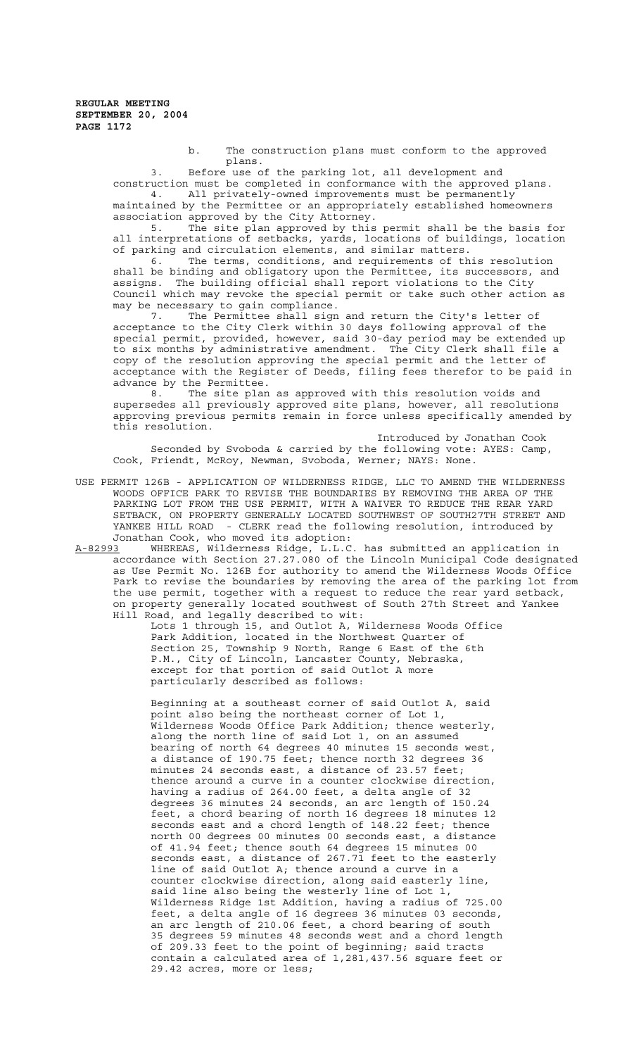b. The construction plans must conform to the approved plans.

3. Before use of the parking lot, all development and construction must be completed in conformance with the approved plans.

4. All privately-owned improvements must be permanently maintained by the Permittee or an appropriately established homeowners association approved by the City Attorney.

5. The site plan approved by this permit shall be the basis for all interpretations of setbacks, yards, locations of buildings, location of parking and circulation elements, and similar matters.

6. The terms, conditions, and requirements of this resolution shall be binding and obligatory upon the Permittee, its successors, and assigns. The building official shall report violations to the City Council which may revoke the special permit or take such other action as may be necessary to gain compliance.

7. The Permittee shall sign and return the City's letter of acceptance to the City Clerk within 30 days following approval of the special permit, provided, however, said 30-day period may be extended up to six months by administrative amendment. The City Clerk shall file a copy of the resolution approving the special permit and the letter of acceptance with the Register of Deeds, filing fees therefor to be paid in advance by the Permittee.

8. The site plan as approved with this resolution voids and supersedes all previously approved site plans, however, all resolutions approving previous permits remain in force unless specifically amended by this resolution.

Introduced by Jonathan Cook Seconded by Svoboda & carried by the following vote: AYES: Camp, Cook, Friendt, McRoy, Newman, Svoboda, Werner; NAYS: None.

USE PERMIT 126B - APPLICATION OF WILDERNESS RIDGE, LLC TO AMEND THE WILDERNESS WOODS OFFICE PARK TO REVISE THE BOUNDARIES BY REMOVING THE AREA OF THE PARKING LOT FROM THE USE PERMIT, WITH A WAIVER TO REDUCE THE REAR YARD SETBACK, ON PROPERTY GENERALLY LOCATED SOUTHWEST OF SOUTH27TH STREET AND YANKEE HILL ROAD - CLERK read the following resolution, introduced by Jonathan Cook, who moved its adoption:

A-82993 WHEREAS, Wilderness Ridge, L.L.C. has submitted an application in accordance with Section 27.27.080 of the Lincoln Municipal Code designated as Use Permit No. 126B for authority to amend the Wilderness Woods Office Park to revise the boundaries by removing the area of the parking lot from the use permit, together with a request to reduce the rear yard setback, on property generally located southwest of South 27th Street and Yankee Hill Road, and legally described to wit:

Lots 1 through 15, and Outlot A, Wilderness Woods Office Park Addition, located in the Northwest Quarter of Section 25, Township 9 North, Range 6 East of the 6th P.M., City of Lincoln, Lancaster County, Nebraska, except for that portion of said Outlot A more particularly described as follows:

Beginning at a southeast corner of said Outlot A, said point also being the northeast corner of Lot 1, Wilderness Woods Office Park Addition; thence westerly, along the north line of said Lot 1, on an assumed bearing of north 64 degrees 40 minutes 15 seconds west, a distance of 190.75 feet; thence north 32 degrees 36 minutes 24 seconds east, a distance of 23.57 feet; thence around a curve in a counter clockwise direction, having a radius of 264.00 feet, a delta angle of 32 degrees 36 minutes 24 seconds, an arc length of 150.24 feet, a chord bearing of north 16 degrees 18 minutes 12 seconds east and a chord length of 148.22 feet; thence north 00 degrees 00 minutes 00 seconds east, a distance of 41.94 feet; thence south 64 degrees 15 minutes 00 seconds east, a distance of  $267.71$  feet to the easterly line of said Outlot A; thence around a curve in a counter clockwise direction, along said easterly line, said line also being the westerly line of Lot 1, Wilderness Ridge 1st Addition, having a radius of 725.00 feet, a delta angle of 16 degrees 36 minutes 03 seconds, an arc length of 210.06 feet, a chord bearing of south 35 degrees 59 minutes 48 seconds west and a chord length of 209.33 feet to the point of beginning; said tracts contain a calculated area of 1,281,437.56 square feet or 29.42 acres, more or less;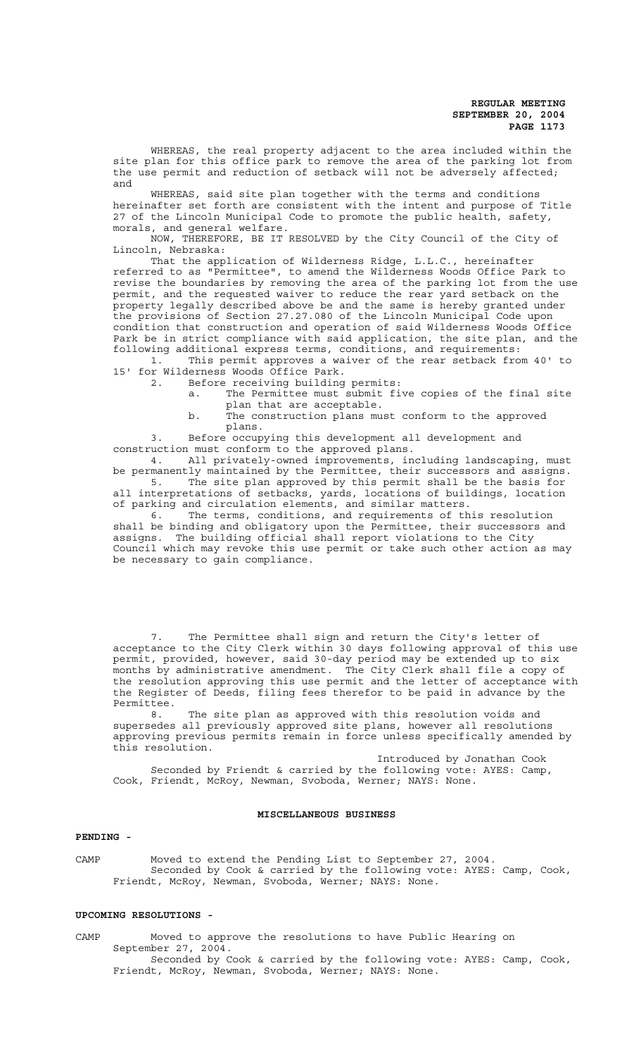WHEREAS, the real property adjacent to the area included within the site plan for this office park to remove the area of the parking lot from the use permit and reduction of setback will not be adversely affected; and

WHEREAS, said site plan together with the terms and conditions hereinafter set forth are consistent with the intent and purpose of Title 27 of the Lincoln Municipal Code to promote the public health, safety, morals, and general welfare.

NOW, THEREFORE, BE IT RESOLVED by the City Council of the City of Lincoln, Nebraska:

That the application of Wilderness Ridge, L.L.C., hereinafter referred to as "Permittee", to amend the Wilderness Woods Office Park to revise the boundaries by removing the area of the parking lot from the use permit, and the requested waiver to reduce the rear yard setback on the property legally described above be and the same is hereby granted under the provisions of Section 27.27.080 of the Lincoln Municipal Code upon condition that construction and operation of said Wilderness Woods Office Park be in strict compliance with said application, the site plan, and the following additional express terms, conditions, and requirements:

This permit approves a waiver of the rear setback from 40' to 1. This permit approves a wa<br>15' for Wilderness Woods Office Park.

2. Before receiving building permits:

a. The Permittee must submit five copies of the final site plan that are acceptable.

b. The construction plans must conform to the approved plans.

3. Before occupying this development all development and construction must conform to the approved plans.

4. All privately-owned improvements, including landscaping, must be permanently maintained by the Permittee, their successors and assigns. 5. The site plan approved by this permit shall be the basis for all interpretations of setbacks, yards, locations of buildings, location of parking and circulation elements, and similar matters.

6. The terms, conditions, and requirements of this resolution shall be binding and obligatory upon the Permittee, their successors and assigns. The building official shall report violations to the City Council which may revoke this use permit or take such other action as may be necessary to gain compliance.

7. The Permittee shall sign and return the City's letter of acceptance to the City Clerk within 30 days following approval of this use permit, provided, however, said 30-day period may be extended up to six months by administrative amendment. The City Clerk shall file a copy of the resolution approving this use permit and the letter of acceptance with the Register of Deeds, filing fees therefor to be paid in advance by the Permittee.

8. The site plan as approved with this resolution voids and supersedes all previously approved site plans, however all resolutions approving previous permits remain in force unless specifically amended by this resolution.

Introduced by Jonathan Cook Seconded by Friendt & carried by the following vote: AYES: Camp, Cook, Friendt, McRoy, Newman, Svoboda, Werner; NAYS: None.

## **MISCELLANEOUS BUSINESS**

#### **PENDING -**

CAMP Moved to extend the Pending List to September 27, 2004. Seconded by Cook & carried by the following vote: AYES: Camp, Cook, Friendt, McRoy, Newman, Svoboda, Werner; NAYS: None.

#### **UPCOMING RESOLUTIONS -**

CAMP Moved to approve the resolutions to have Public Hearing on September 27, 2004. Seconded by Cook & carried by the following vote: AYES: Camp, Cook, Friendt, McRoy, Newman, Svoboda, Werner; NAYS: None.